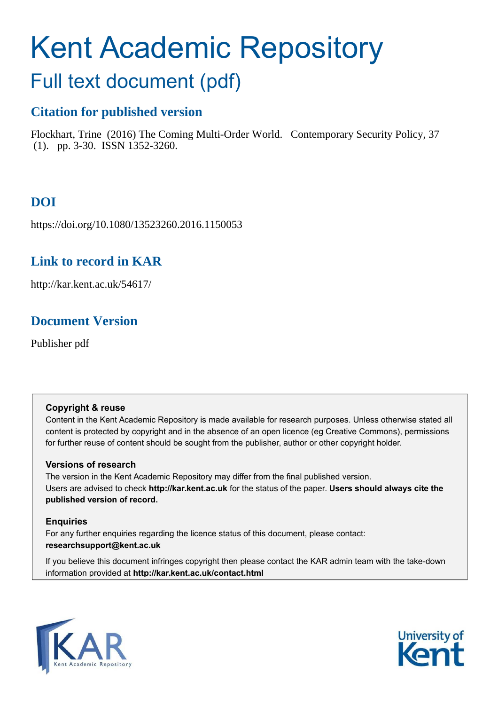# Kent Academic Repository

## Full text document (pdf)

## **Citation for published version**

Flockhart, Trine (2016) The Coming Multi-Order World. Contemporary Security Policy, 37 (1). pp. 3-30. ISSN 1352-3260.

## **DOI**

https://doi.org/10.1080/13523260.2016.1150053

### **Link to record in KAR**

http://kar.kent.ac.uk/54617/

## **Document Version**

Publisher pdf

#### **Copyright & reuse**

Content in the Kent Academic Repository is made available for research purposes. Unless otherwise stated all content is protected by copyright and in the absence of an open licence (eg Creative Commons), permissions for further reuse of content should be sought from the publisher, author or other copyright holder.

#### **Versions of research**

The version in the Kent Academic Repository may differ from the final published version. Users are advised to check **http://kar.kent.ac.uk** for the status of the paper. **Users should always cite the published version of record.**

#### **Enquiries**

For any further enquiries regarding the licence status of this document, please contact: **researchsupport@kent.ac.uk**

If you believe this document infringes copyright then please contact the KAR admin team with the take-down information provided at **http://kar.kent.ac.uk/contact.html**



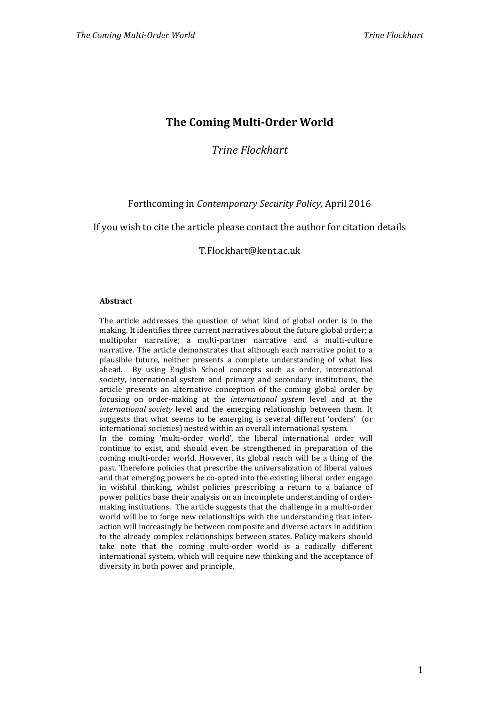#### **The Coming Multi‐Order World**

*Trine Flockhart*

#### Forthcoming in *Contemporary Security Policy,* April 2016

If you wish to cite the article please contact the author for citation details

T.Flockhart@kent.ac.uk

#### **Abstract**

The article addresses the question of what kind of global order is in the making. It identifies three current narratives about the future global order; a multipolar narrative; a multi‐partner narrative and a multi‐culture narrative. The article demonstrates that although each narrative point to a plausible future, neither presents a complete understanding of what lies ahead. By using English School concepts such as order, international society, international system and primary and secondary institutions, the article presents an alternative conception of the coming global order by focusing on order‐making at the *international system* level and at the *international society* level and the emerging relationship between them. It suggests that what seems to be emerging is several different 'orders' (or international societies) nested within an overall international system. In the coming 'multi-order world', the liberal international order will continue to exist, and should even be strengthened in preparation of the coming multi‐order world. However, its global reach will be a thing of the past. Therefore policies that prescribe the universalization of liberal values and that emerging powers be co-opted into the existing liberal order engage in wishful thinking, whilst policies prescribing a return to a balance of power politics base their analysis on an incomplete understanding of order‐ making institutions. The article suggests that the challenge in a multi‐order world will be to forge new relationships with the understanding that interaction will increasingly be between composite and diverse actors in addition to the already complex relationships between states. Policy‐makers should take note that the coming multi-order world is a radically different international system, which will require new thinking and the acceptance of diversity in both power and principle.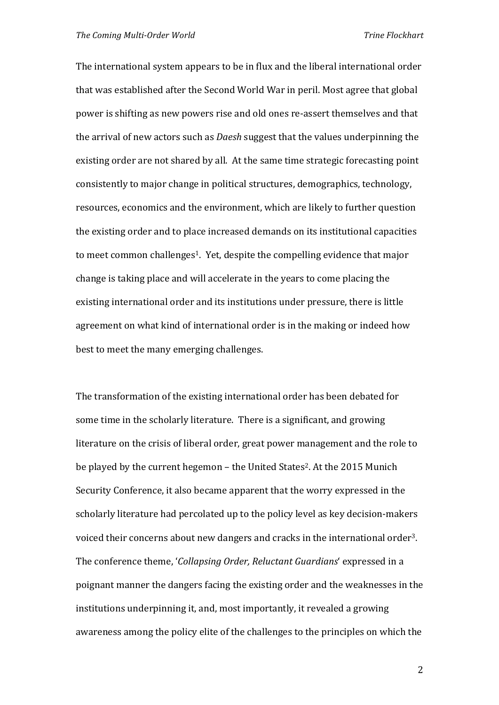The international system appears to be in flux and the liberal international order that was established after the Second World War in peril. Most agree that global power is shifting as new powers rise and old ones re‐assert themselves and that the arrival of new actors such as *Daesh* suggest that the values underpinning the existing order are not shared by all. At the same time strategic forecasting point consistently to major change in political structures, demographics, technology, resources, economics and the environment, which are likely to further question the existing order and to place increased demands on its institutional capacities to meet common challenges<sup>1</sup>. Yet, despite the compelling evidence that major change is taking place and will accelerate in the years to come placing the existing international order and its institutions under pressure, there is little agreement on what kind of international order is in the making or indeed how best to meet the many emerging challenges.

The transformation of the existing international order has been debated for some time in the scholarly literature. There is a significant, and growing literature on the crisis of liberal order, great power management and the role to be played by the current hegemon - the United States<sup>2</sup>. At the 2015 Munich Security Conference, it also became apparent that the worry expressed in the scholarly literature had percolated up to the policy level as key decision-makers voiced their concerns about new dangers and cracks in the international order3. The conference theme, '*Collapsing Order, Reluctant Guardians*' expressed in a poignant manner the dangers facing the existing order and the weaknesses in the institutions underpinning it, and, most importantly, it revealed a growing awareness among the policy elite of the challenges to the principles on which the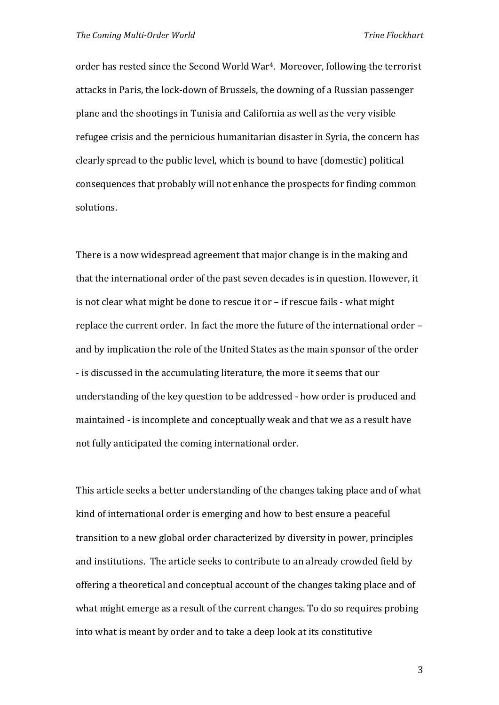order has rested since the Second World War4. Moreover, following the terrorist attacks in Paris, the lock‐down of Brussels, the downing of a Russian passenger plane and the shootings in Tunisia and California as well as the very visible refugee crisis and the pernicious humanitarian disaster in Syria, the concern has clearly spread to the public level, which is bound to have (domestic) political consequences that probably will not enhance the prospects for finding common solutions.

There is a now widespread agreement that major change is in the making and that the international order of the past seven decades is in question. However, it is not clear what might be done to rescue it or – if rescue fails ‐ what might replace the current order. In fact the more the future of the international order – and by implication the role of the United States as the main sponsor of the order ‐ is discussed in the accumulating literature, the more it seems that our understanding of the key question to be addressed ‐ how order is produced and maintained ‐ is incomplete and conceptually weak and that we as a result have not fully anticipated the coming international order.

This article seeks a better understanding of the changes taking place and of what kind of international order is emerging and how to best ensure a peaceful transition to a new global order characterized by diversity in power, principles and institutions. The article seeks to contribute to an already crowded field by offering a theoretical and conceptual account of the changes taking place and of what might emerge as a result of the current changes. To do so requires probing into what is meant by order and to take a deep look at its constitutive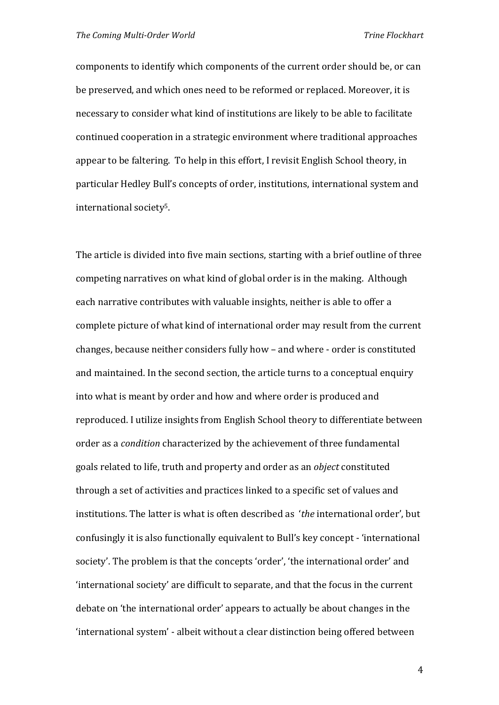components to identify which components of the current order should be, or can be preserved, and which ones need to be reformed or replaced. Moreover, it is necessary to consider what kind of institutions are likely to be able to facilitate continued cooperation in a strategic environment where traditional approaches appear to be faltering. To help in this effort, I revisit English School theory, in particular Hedley Bull's concepts of order, institutions, international system and international society5.

The article is divided into five main sections, starting with a brief outline of three competing narratives on what kind of global order is in the making. Although each narrative contributes with valuable insights, neither is able to offer a complete picture of what kind of international order may result from the current changes, because neither considers fully how – and where ‐ order is constituted and maintained. In the second section, the article turns to a conceptual enquiry into what is meant by order and how and where order is produced and reproduced. I utilize insights from English School theory to differentiate between order as a *condition* characterized by the achievement of three fundamental goals related to life, truth and property and order as an *object* constituted through a set of activities and practices linked to a specific set of values and institutions. The latter is what is often described as '*the* international order', but confusingly it is also functionally equivalent to Bull's key concept ‐ 'international society'. The problem is that the concepts 'order', 'the international order' and 'international society' are difficult to separate, and that the focus in the current debate on 'the international order' appears to actually be about changes in the 'international system' ‐ albeit without a clear distinction being offered between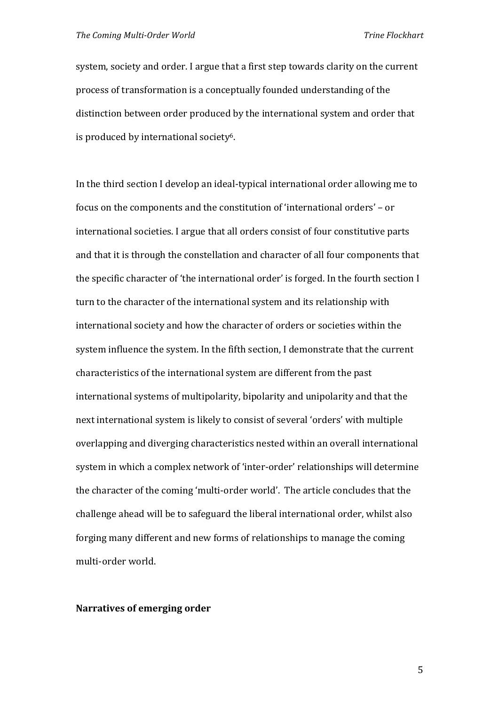system, society and order. I argue that a first step towards clarity on the current process of transformation is a conceptually founded understanding of the distinction between order produced by the international system and order that is produced by international society6.

In the third section I develop an ideal-typical international order allowing me to focus on the components and the constitution of 'international orders' – or international societies. I argue that all orders consist of four constitutive parts and that it is through the constellation and character of all four components that the specific character of 'the international order' is forged. In the fourth section I turn to the character of the international system and its relationship with international society and how the character of orders or societies within the system influence the system. In the fifth section, I demonstrate that the current characteristics of the international system are different from the past international systems of multipolarity, bipolarity and unipolarity and that the next international system is likely to consist of several 'orders' with multiple overlapping and diverging characteristics nested within an overall international system in which a complex network of 'inter-order' relationships will determine the character of the coming 'multi‐order world'. The article concludes that the challenge ahead will be to safeguard the liberal international order, whilst also forging many different and new forms of relationships to manage the coming multi‐order world.

#### **Narratives of emerging order**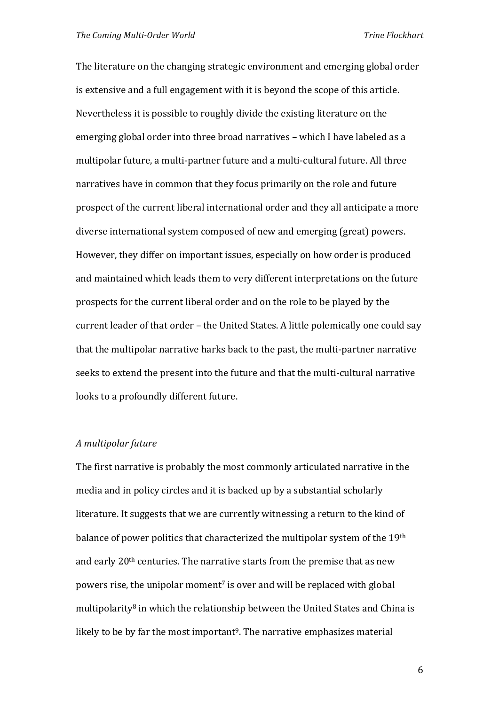The literature on the changing strategic environment and emerging global order is extensive and a full engagement with it is beyond the scope of this article. Nevertheless it is possible to roughly divide the existing literature on the emerging global order into three broad narratives – which I have labeled as a multipolar future, a multi‐partner future and a multi‐cultural future. All three narratives have in common that they focus primarily on the role and future prospect of the current liberal international order and they all anticipate a more diverse international system composed of new and emerging (great) powers. However, they differ on important issues, especially on how order is produced and maintained which leads them to very different interpretations on the future prospects for the current liberal order and on the role to be played by the current leader of that order – the United States. A little polemically one could say that the multipolar narrative harks back to the past, the multi‐partner narrative seeks to extend the present into the future and that the multi-cultural narrative looks to a profoundly different future.

#### *A multipolar future*

The first narrative is probably the most commonly articulated narrative in the media and in policy circles and it is backed up by a substantial scholarly literature. It suggests that we are currently witnessing a return to the kind of balance of power politics that characterized the multipolar system of the 19th and early 20<sup>th</sup> centuries. The narrative starts from the premise that as new powers rise, the unipolar moment<sup>7</sup> is over and will be replaced with global multipolarity<sup>8</sup> in which the relationship between the United States and China is likely to be by far the most important<sup>9</sup>. The narrative emphasizes material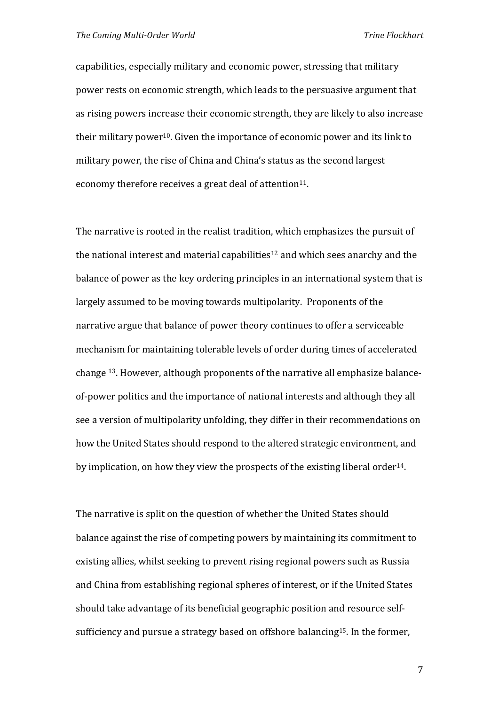capabilities, especially military and economic power, stressing that military power rests on economic strength, which leads to the persuasive argument that as rising powers increase their economic strength, they are likely to also increase their military power<sup>10</sup>. Given the importance of economic power and its link to military power, the rise of China and China's status as the second largest economy therefore receives a great deal of attention<sup>11</sup>.

The narrative is rooted in the realist tradition, which emphasizes the pursuit of the national interest and material capabilities<sup>12</sup> and which sees anarchy and the balance of power as the key ordering principles in an international system that is largely assumed to be moving towards multipolarity. Proponents of the narrative argue that balance of power theory continues to offer a serviceable mechanism for maintaining tolerable levels of order during times of accelerated change 13. However, although proponents of the narrative all emphasize balance‐ of‐power politics and the importance of national interests and although they all see a version of multipolarity unfolding, they differ in their recommendations on how the United States should respond to the altered strategic environment, and by implication, on how they view the prospects of the existing liberal order<sup>14</sup>.

The narrative is split on the question of whether the United States should balance against the rise of competing powers by maintaining its commitment to existing allies, whilst seeking to prevent rising regional powers such as Russia and China from establishing regional spheres of interest, or if the United States should take advantage of its beneficial geographic position and resource self‐ sufficiency and pursue a strategy based on offshore balancing15. In the former,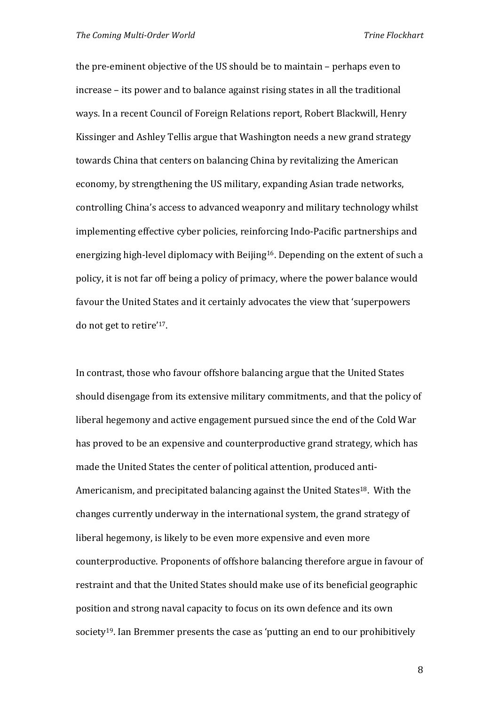the pre‐eminent objective of the US should be to maintain – perhaps even to increase – its power and to balance against rising states in all the traditional ways. In a recent Council of Foreign Relations report, Robert Blackwill, Henry Kissinger and Ashley Tellis argue that Washington needs a new grand strategy towards China that centers on balancing China by revitalizing the American economy, by strengthening the US military, expanding Asian trade networks, controlling China's access to advanced weaponry and military technology whilst implementing effective cyber policies, reinforcing Indo‐Pacific partnerships and energizing high-level diplomacy with Beijing<sup>16</sup>. Depending on the extent of such a policy, it is not far off being a policy of primacy, where the power balance would favour the United States and it certainly advocates the view that 'superpowers do not get to retire' 17.

In contrast, those who favour offshore balancing argue that the United States should disengage from its extensive military commitments, and that the policy of liberal hegemony and active engagement pursued since the end of the Cold War has proved to be an expensive and counterproductive grand strategy, which has made the United States the center of political attention, produced anti‐ Americanism, and precipitated balancing against the United States<sup>18</sup>. With the changes currently underway in the international system, the grand strategy of liberal hegemony, is likely to be even more expensive and even more counterproductive. Proponents of offshore balancing therefore argue in favour of restraint and that the United States should make use of its beneficial geographic position and strong naval capacity to focus on its own defence and its own society19. Ian Bremmer presents the case as 'putting an end to our prohibitively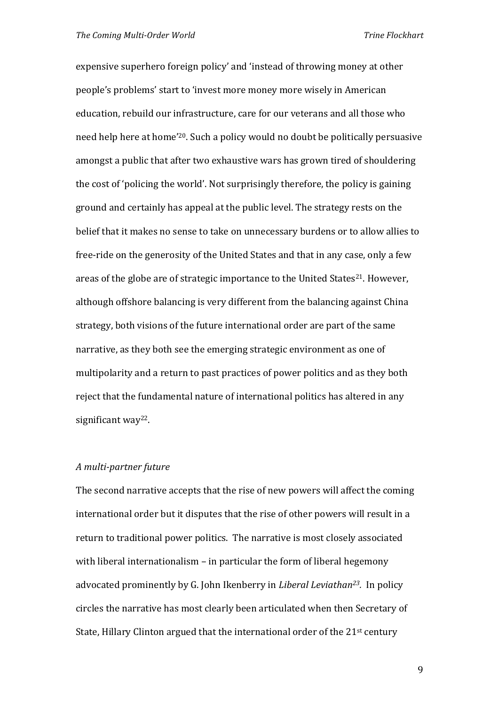expensive superhero foreign policy' and 'instead of throwing money at other people's problems' start to 'invest more money more wisely in American education, rebuild our infrastructure, care for our veterans and all those who need help here at home'20. Such a policy would no doubt be politically persuasive amongst a public that after two exhaustive wars has grown tired of shouldering the cost of 'policing the world'. Not surprisingly therefore, the policy is gaining ground and certainly has appeal at the public level. The strategy rests on the belief that it makes no sense to take on unnecessary burdens or to allow allies to free-ride on the generosity of the United States and that in any case, only a few areas of the globe are of strategic importance to the United States<sup>21</sup>. However, although offshore balancing is very different from the balancing against China strategy, both visions of the future international order are part of the same narrative, as they both see the emerging strategic environment as one of multipolarity and a return to past practices of power politics and as they both reject that the fundamental nature of international politics has altered in any significant way<sup>22</sup>.

#### *A multi‐partner future*

The second narrative accepts that the rise of new powers will affect the coming international order but it disputes that the rise of other powers will result in a return to traditional power politics. The narrative is most closely associated with liberal internationalism – in particular the form of liberal hegemony advocated prominently by G. John Ikenberry in *Liberal Leviathan<sup>23</sup>.*  In policy circles the narrative has most clearly been articulated when then Secretary of State, Hillary Clinton argued that the international order of the  $21<sup>st</sup>$  century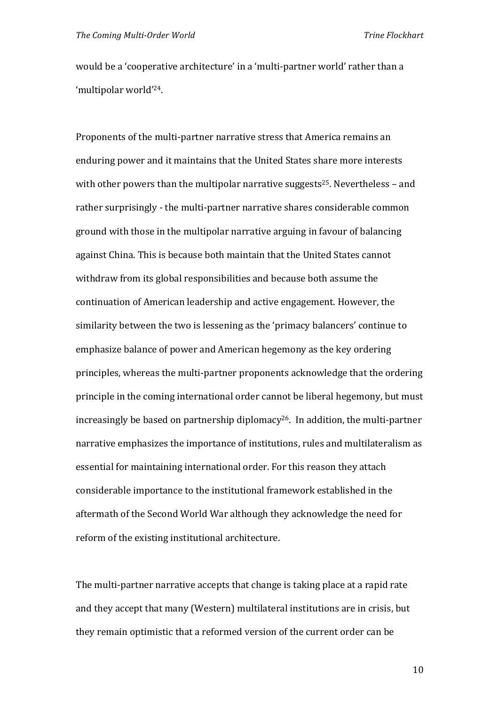would be a 'cooperative architecture' in a 'multi‐partner world' rather than a 'multipolar world'24.

Proponents of the multi‐partner narrative stress that America remains an enduring power and it maintains that the United States share more interests with other powers than the multipolar narrative suggests<sup>25</sup>. Nevertheless – and rather surprisingly - the multi-partner narrative shares considerable common ground with those in the multipolar narrative arguing in favour of balancing against China. This is because both maintain that the United States cannot withdraw from its global responsibilities and because both assume the continuation of American leadership and active engagement. However, the similarity between the two is lessening as the 'primacy balancers' continue to emphasize balance of power and American hegemony as the key ordering principles, whereas the multi‐partner proponents acknowledge that the ordering principle in the coming international order cannot be liberal hegemony, but must increasingly be based on partnership diplomacy<sup>26</sup>. In addition, the multi-partner narrative emphasizes the importance of institutions, rules and multilateralism as essential for maintaining international order. For this reason they attach considerable importance to the institutional framework established in the aftermath of the Second World War although they acknowledge the need for reform of the existing institutional architecture.

The multi-partner narrative accepts that change is taking place at a rapid rate and they accept that many (Western) multilateral institutions are in crisis, but they remain optimistic that a reformed version of the current order can be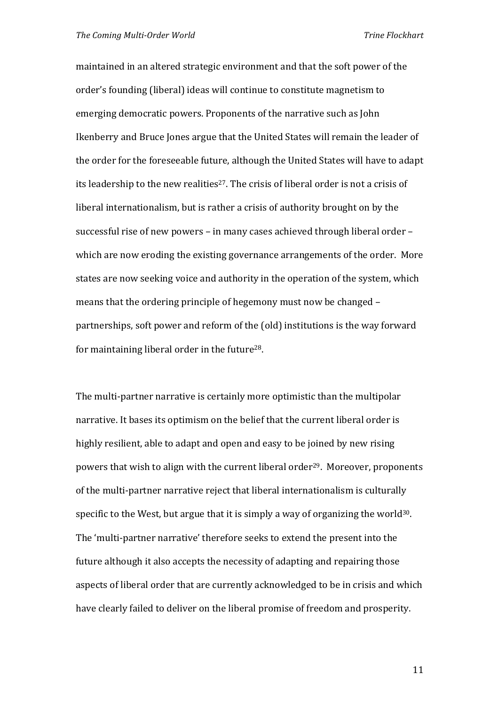maintained in an altered strategic environment and that the soft power of the order's founding (liberal) ideas will continue to constitute magnetism to emerging democratic powers. Proponents of the narrative such as John Ikenberry and Bruce Jones argue that the United States will remain the leader of the order for the foreseeable future, although the United States will have to adapt its leadership to the new realities<sup>27</sup>. The crisis of liberal order is not a crisis of liberal internationalism, but is rather a crisis of authority brought on by the successful rise of new powers – in many cases achieved through liberal order – which are now eroding the existing governance arrangements of the order. More states are now seeking voice and authority in the operation of the system, which means that the ordering principle of hegemony must now be changed – partnerships, soft power and reform of the (old) institutions is the way forward for maintaining liberal order in the future28.

The multi-partner narrative is certainly more optimistic than the multipolar narrative. It bases its optimism on the belief that the current liberal order is highly resilient, able to adapt and open and easy to be joined by new rising powers that wish to align with the current liberal order<sup>29</sup>. Moreover, proponents of the multi‐partner narrative reject that liberal internationalism is culturally specific to the West, but argue that it is simply a way of organizing the world<sup>30</sup>. The 'multi‐partner narrative' therefore seeks to extend the present into the future although it also accepts the necessity of adapting and repairing those aspects of liberal order that are currently acknowledged to be in crisis and which have clearly failed to deliver on the liberal promise of freedom and prosperity.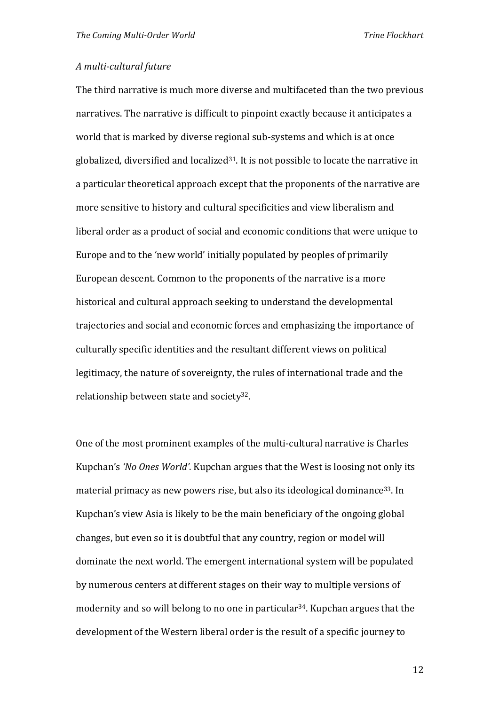#### *A multi‐cultural future*

The third narrative is much more diverse and multifaceted than the two previous narratives. The narrative is difficult to pinpoint exactly because it anticipates a world that is marked by diverse regional sub-systems and which is at once globalized, diversified and localized $31$ . It is not possible to locate the narrative in a particular theoretical approach except that the proponents of the narrative are more sensitive to history and cultural specificities and view liberalism and liberal order as a product of social and economic conditions that were unique to Europe and to the 'new world' initially populated by peoples of primarily European descent. Common to the proponents of the narrative is a more historical and cultural approach seeking to understand the developmental trajectories and social and economic forces and emphasizing the importance of culturally specific identities and the resultant different views on political legitimacy, the nature of sovereignty, the rules of international trade and the relationship between state and society32.

One of the most prominent examples of the multi‐cultural narrative is Charles Kupchan's *'No Ones World'*. Kupchan argues that the West is loosing not only its material primacy as new powers rise, but also its ideological dominance<sup>33</sup>. In Kupchan's view Asia is likely to be the main beneficiary of the ongoing global changes, but even so it is doubtful that any country, region or model will dominate the next world. The emergent international system will be populated by numerous centers at different stages on their way to multiple versions of modernity and so will belong to no one in particular<sup>34</sup>. Kupchan argues that the development of the Western liberal order is the result of a specific journey to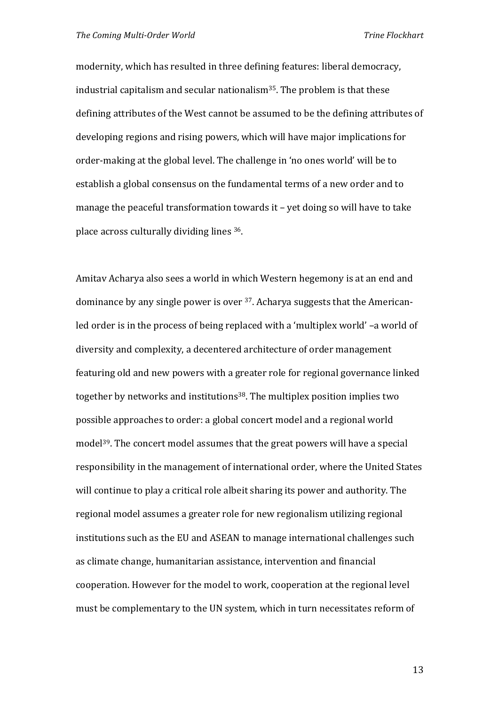modernity, which has resulted in three defining features: liberal democracy, industrial capitalism and secular nationalism35. The problem is that these defining attributes of the West cannot be assumed to be the defining attributes of developing regions and rising powers, which will have major implications for order‐making at the global level. The challenge in 'no ones world' will be to establish a global consensus on the fundamental terms of a new order and to manage the peaceful transformation towards it – yet doing so will have to take place across culturally dividing lines 36.

Amitav Acharya also sees a world in which Western hegemony is at an end and dominance by any single power is over 37. Acharya suggests that the American‐ led order is in the process of being replaced with a 'multiplex world' –a world of diversity and complexity, a decentered architecture of order management featuring old and new powers with a greater role for regional governance linked together by networks and institutions<sup>38</sup>. The multiplex position implies two possible approaches to order: a global concert model and a regional world model<sup>39</sup>. The concert model assumes that the great powers will have a special responsibility in the management of international order, where the United States will continue to play a critical role albeit sharing its power and authority. The regional model assumes a greater role for new regionalism utilizing regional institutions such as the EU and ASEAN to manage international challenges such as climate change, humanitarian assistance, intervention and financial cooperation. However for the model to work, cooperation at the regional level must be complementary to the UN system, which in turn necessitates reform of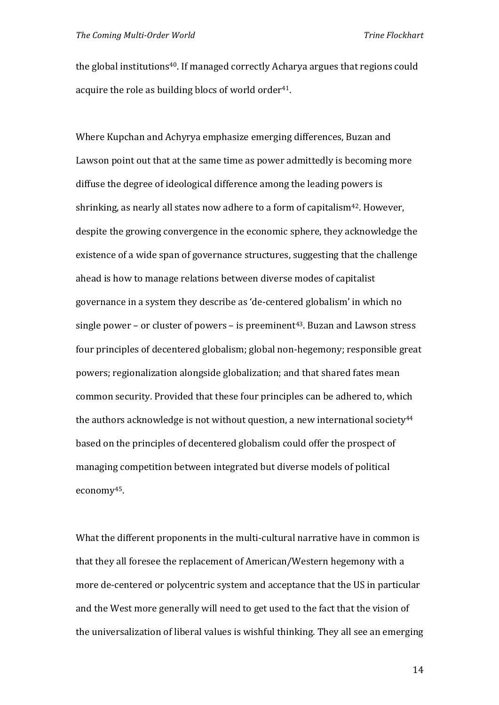the global institutions<sup>40</sup>. If managed correctly Acharya argues that regions could acquire the role as building blocs of world order<sup>41</sup>.

Where Kupchan and Achyrya emphasize emerging differences, Buzan and Lawson point out that at the same time as power admittedly is becoming more diffuse the degree of ideological difference among the leading powers is shrinking, as nearly all states now adhere to a form of capitalism<sup>42</sup>. However, despite the growing convergence in the economic sphere, they acknowledge the existence of a wide span of governance structures, suggesting that the challenge ahead is how to manage relations between diverse modes of capitalist governance in a system they describe as 'de‐centered globalism' in which no single power – or cluster of powers – is preeminent<sup>43</sup>. Buzan and Lawson stress four principles of decentered globalism; global non‐hegemony; responsible great powers; regionalization alongside globalization; and that shared fates mean common security. Provided that these four principles can be adhered to, which the authors acknowledge is not without question, a new international society<sup>44</sup> based on the principles of decentered globalism could offer the prospect of managing competition between integrated but diverse models of political economy45.

What the different proponents in the multi-cultural narrative have in common is that they all foresee the replacement of American/Western hegemony with a more de-centered or polycentric system and acceptance that the US in particular and the West more generally will need to get used to the fact that the vision of the universalization of liberal values is wishful thinking. They all see an emerging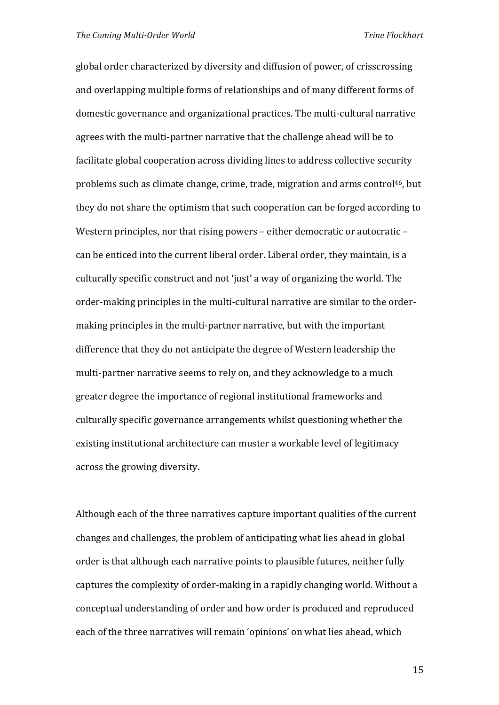global order characterized by diversity and diffusion of power, of crisscrossing and overlapping multiple forms of relationships and of many different forms of domestic governance and organizational practices. The multi‐cultural narrative agrees with the multi‐partner narrative that the challenge ahead will be to facilitate global cooperation across dividing lines to address collective security problems such as climate change, crime, trade, migration and arms control46, but they do not share the optimism that such cooperation can be forged according to Western principles, nor that rising powers – either democratic or autocratic – can be enticed into the current liberal order. Liberal order, they maintain, is a culturally specific construct and not 'just' a way of organizing the world. The order-making principles in the multi-cultural narrative are similar to the ordermaking principles in the multi‐partner narrative, but with the important difference that they do not anticipate the degree of Western leadership the multi-partner narrative seems to rely on, and they acknowledge to a much greater degree the importance of regional institutional frameworks and culturally specific governance arrangements whilst questioning whether the existing institutional architecture can muster a workable level of legitimacy across the growing diversity.

Although each of the three narratives capture important qualities of the current changes and challenges, the problem of anticipating what lies ahead in global order is that although each narrative points to plausible futures, neither fully captures the complexity of order‐making in a rapidly changing world. Without a conceptual understanding of order and how order is produced and reproduced each of the three narratives will remain 'opinions' on what lies ahead, which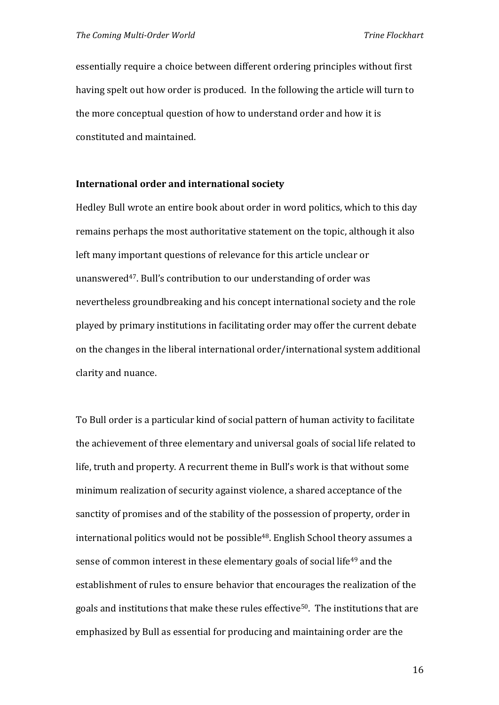essentially require a choice between different ordering principles without first having spelt out how order is produced. In the following the article will turn to the more conceptual question of how to understand order and how it is constituted and maintained.

#### **International order and international society**

Hedley Bull wrote an entire book about order in word politics, which to this day remains perhaps the most authoritative statement on the topic, although it also left many important questions of relevance for this article unclear or unanswered<sup>47</sup>. Bull's contribution to our understanding of order was nevertheless groundbreaking and his concept international society and the role played by primary institutions in facilitating order may offer the current debate on the changes in the liberal international order/international system additional clarity and nuance.

To Bull order is a particular kind of social pattern of human activity to facilitate the achievement of three elementary and universal goals of social life related to life, truth and property. A recurrent theme in Bull's work is that without some minimum realization of security against violence, a shared acceptance of the sanctity of promises and of the stability of the possession of property, order in international politics would not be possible<sup>48</sup>. English School theory assumes a sense of common interest in these elementary goals of social life<sup>49</sup> and the establishment of rules to ensure behavior that encourages the realization of the goals and institutions that make these rules effective<sup>50</sup>. The institutions that are emphasized by Bull as essential for producing and maintaining order are the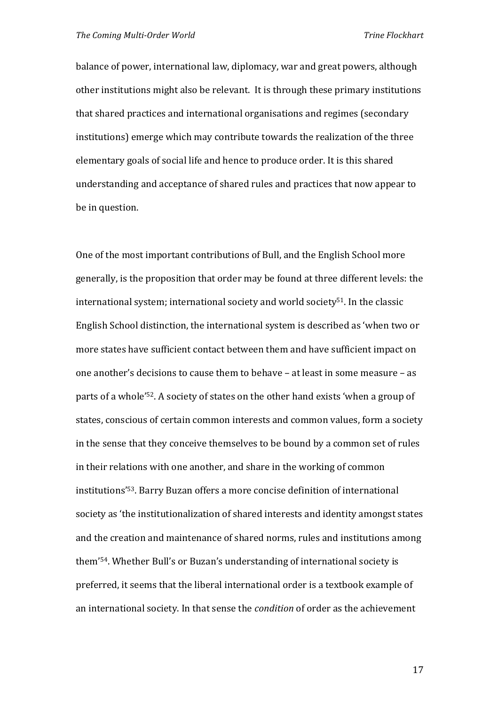balance of power, international law, diplomacy, war and great powers, although other institutions might also be relevant. It is through these primary institutions that shared practices and international organisations and regimes (secondary institutions) emerge which may contribute towards the realization of the three elementary goals of social life and hence to produce order. It is this shared understanding and acceptance of shared rules and practices that now appear to be in question.

One of the most important contributions of Bull, and the English School more generally, is the proposition that order may be found at three different levels: the international system; international society and world society<sup>51</sup>. In the classic English School distinction, the international system is described as 'when two or more states have sufficient contact between them and have sufficient impact on one another's decisions to cause them to behave – at least in some measure – as parts of a whole'52. A society of states on the other hand exists 'when a group of states, conscious of certain common interests and common values, form a society in the sense that they conceive themselves to be bound by a common set of rules in their relations with one another, and share in the working of common institutions'53. Barry Buzan offers a more concise definition of international society as 'the institutionalization of shared interests and identity amongst states and the creation and maintenance of shared norms, rules and institutions among them'54. Whether Bull's or Buzan's understanding of international society is preferred, it seems that the liberal international order is a textbook example of an international society. In that sense the *condition* of order as the achievement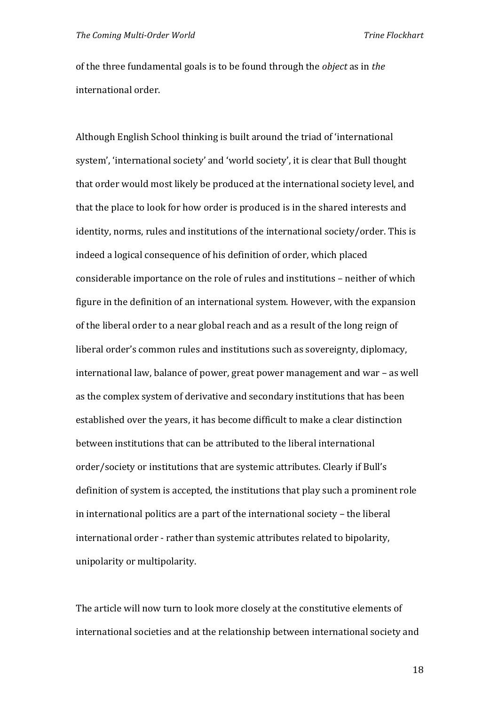of the three fundamental goals is to be found through the *object* as in *the* international order.

Although English School thinking is built around the triad of 'international system', 'international society' and 'world society', it is clear that Bull thought that order would most likely be produced at the international society level, and that the place to look for how order is produced is in the shared interests and identity, norms, rules and institutions of the international society/order. This is indeed a logical consequence of his definition of order, which placed considerable importance on the role of rules and institutions – neither of which figure in the definition of an international system. However, with the expansion of the liberal order to a near global reach and as a result of the long reign of liberal order's common rules and institutions such as sovereignty, diplomacy, international law, balance of power, great power management and war – as well as the complex system of derivative and secondary institutions that has been established over the years, it has become difficult to make a clear distinction between institutions that can be attributed to the liberal international order/society or institutions that are systemic attributes. Clearly if Bull's definition of system is accepted, the institutions that play such a prominent role in international politics are a part of the international society – the liberal international order ‐ rather than systemic attributes related to bipolarity, unipolarity or multipolarity.

The article will now turn to look more closely at the constitutive elements of international societies and at the relationship between international society and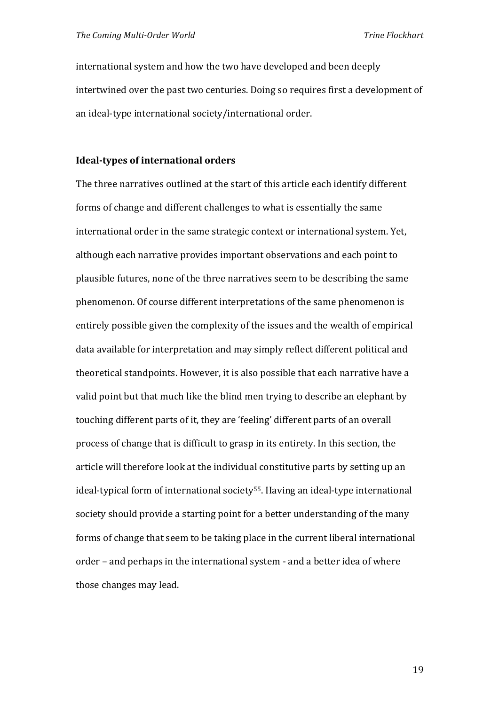international system and how the two have developed and been deeply intertwined over the past two centuries. Doing so requires first a development of an ideal‐type international society/international order.

#### **Ideal‐types of international orders**

The three narratives outlined at the start of this article each identify different forms of change and different challenges to what is essentially the same international order in the same strategic context or international system. Yet, although each narrative provides important observations and each point to plausible futures, none of the three narratives seem to be describing the same phenomenon. Of course different interpretations of the same phenomenon is entirely possible given the complexity of the issues and the wealth of empirical data available for interpretation and may simply reflect different political and theoretical standpoints. However, it is also possible that each narrative have a valid point but that much like the blind men trying to describe an elephant by touching different parts of it, they are 'feeling' different parts of an overall process of change that is difficult to grasp in its entirety. In this section, the article will therefore look at the individual constitutive parts by setting up an ideal-typical form of international society<sup>55</sup>. Having an ideal-type international society should provide a starting point for a better understanding of the many forms of change that seem to be taking place in the current liberal international order – and perhaps in the international system ‐ and a better idea of where those changes may lead.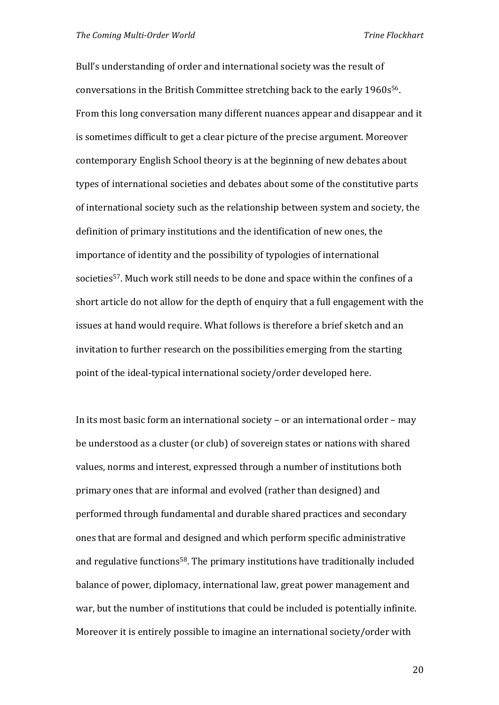Bull's understanding of order and international society was the result of conversations in the British Committee stretching back to the early 1960s56. From this long conversation many different nuances appear and disappear and it is sometimes difficult to get a clear picture of the precise argument. Moreover contemporary English School theory is at the beginning of new debates about types of international societies and debates about some of the constitutive parts of international society such as the relationship between system and society, the definition of primary institutions and the identification of new ones, the importance of identity and the possibility of typologies of international societies<sup>57</sup>. Much work still needs to be done and space within the confines of a short article do not allow for the depth of enquiry that a full engagement with the issues at hand would require. What follows is therefore a brief sketch and an invitation to further research on the possibilities emerging from the starting point of the ideal‐typical international society/order developed here.

In its most basic form an international society – or an international order – may be understood as a cluster (or club) of sovereign states or nations with shared values, norms and interest, expressed through a number of institutions both primary ones that are informal and evolved (rather than designed) and performed through fundamental and durable shared practices and secondary ones that are formal and designed and which perform specific administrative and regulative functions<sup>58</sup>. The primary institutions have traditionally included balance of power, diplomacy, international law, great power management and war, but the number of institutions that could be included is potentially infinite. Moreover it is entirely possible to imagine an international society/order with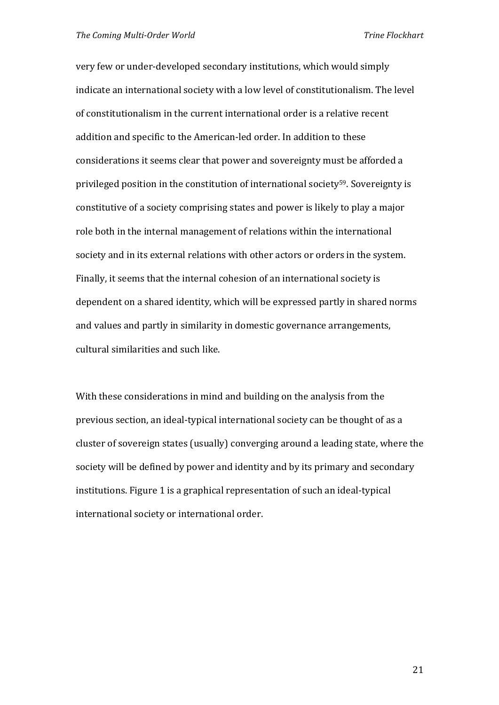very few or under‐developed secondary institutions, which would simply indicate an international society with a low level of constitutionalism. The level of constitutionalism in the current international order is a relative recent addition and specific to the American‐led order. In addition to these considerations it seems clear that power and sovereignty must be afforded a privileged position in the constitution of international society59. Sovereignty is constitutive of a society comprising states and power is likely to play a major role both in the internal management of relations within the international society and in its external relations with other actors or orders in the system. Finally, it seems that the internal cohesion of an international society is dependent on a shared identity, which will be expressed partly in shared norms and values and partly in similarity in domestic governance arrangements, cultural similarities and such like.

With these considerations in mind and building on the analysis from the previous section, an ideal‐typical international society can be thought of as a cluster of sovereign states (usually) converging around a leading state, where the society will be defined by power and identity and by its primary and secondary institutions. Figure 1 is a graphical representation of such an ideal‐typical international society or international order.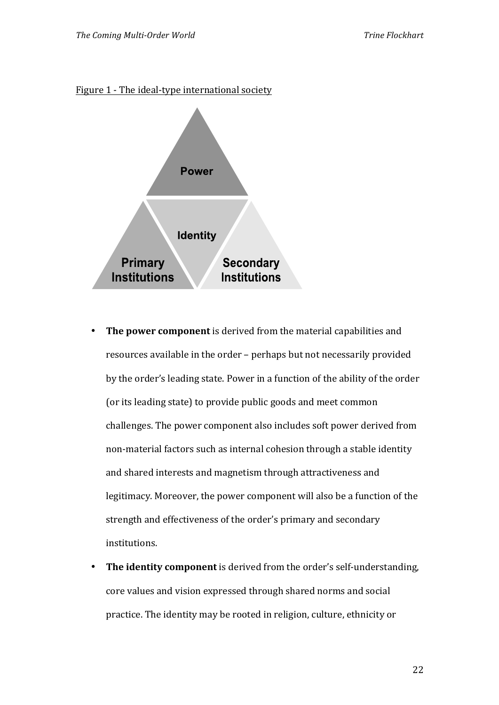



- **The power component** is derived from the material capabilities and resources available in the order – perhaps but not necessarily provided by the order's leading state. Power in a function of the ability of the order (or its leading state) to provide public goods and meet common challenges. The power component also includes soft power derived from non‐material factors such as internal cohesion through a stable identity and shared interests and magnetism through attractiveness and legitimacy. Moreover, the power component will also be a function of the strength and effectiveness of the order's primary and secondary institutions.
- The identity component is derived from the order's self-understanding, core values and vision expressed through shared norms and social practice. The identity may be rooted in religion, culture, ethnicity or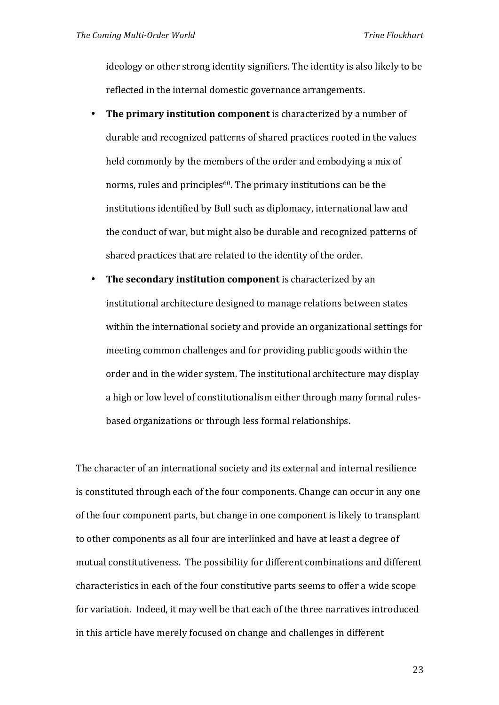ideology or other strong identity signifiers. The identity is also likely to be reflected in the internal domestic governance arrangements.

- **The primary institution component** is characterized by a number of durable and recognized patterns of shared practices rooted in the values held commonly by the members of the order and embodying a mix of norms, rules and principles<sup>60</sup>. The primary institutions can be the institutions identified by Bull such as diplomacy, international law and the conduct of war, but might also be durable and recognized patterns of shared practices that are related to the identity of the order.
- **The secondary institution component** is characterized by an institutional architecture designed to manage relations between states within the international society and provide an organizational settings for meeting common challenges and for providing public goods within the order and in the wider system. The institutional architecture may display a high or low level of constitutionalism either through many formal rulesbased organizations or through less formal relationships.

The character of an international society and its external and internal resilience is constituted through each of the four components. Change can occur in any one of the four component parts, but change in one component is likely to transplant to other components as all four are interlinked and have at least a degree of mutual constitutiveness. The possibility for different combinations and different characteristics in each of the four constitutive parts seems to offer a wide scope for variation. Indeed, it may well be that each of the three narratives introduced in this article have merely focused on change and challenges in different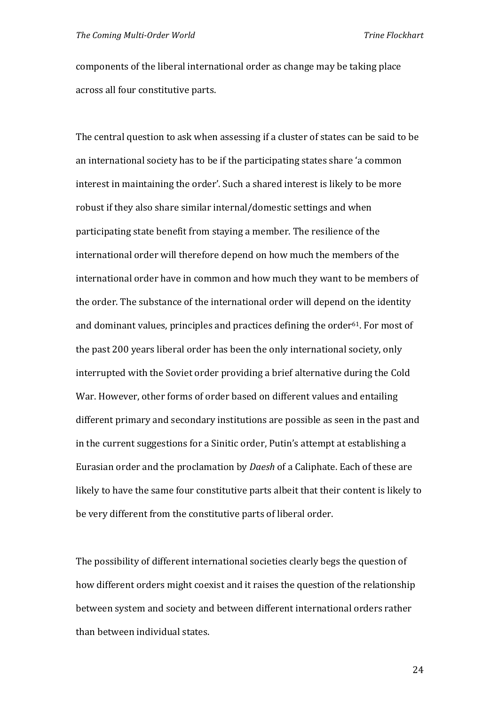components of the liberal international order as change may be taking place across all four constitutive parts.

The central question to ask when assessing if a cluster of states can be said to be an international society has to be if the participating states share 'a common interest in maintaining the order'. Such a shared interest is likely to be more robust if they also share similar internal/domestic settings and when participating state benefit from staying a member. The resilience of the international order will therefore depend on how much the members of the international order have in common and how much they want to be members of the order. The substance of the international order will depend on the identity and dominant values, principles and practices defining the order<sup>61</sup>. For most of the past 200 years liberal order has been the only international society, only interrupted with the Soviet order providing a brief alternative during the Cold War. However, other forms of order based on different values and entailing different primary and secondary institutions are possible as seen in the past and in the current suggestions for a Sinitic order, Putin's attempt at establishing a Eurasian order and the proclamation by *Daesh* of a Caliphate. Each of these are likely to have the same four constitutive parts albeit that their content is likely to be very different from the constitutive parts of liberal order.

The possibility of different international societies clearly begs the question of how different orders might coexist and it raises the question of the relationship between system and society and between different international orders rather than between individual states.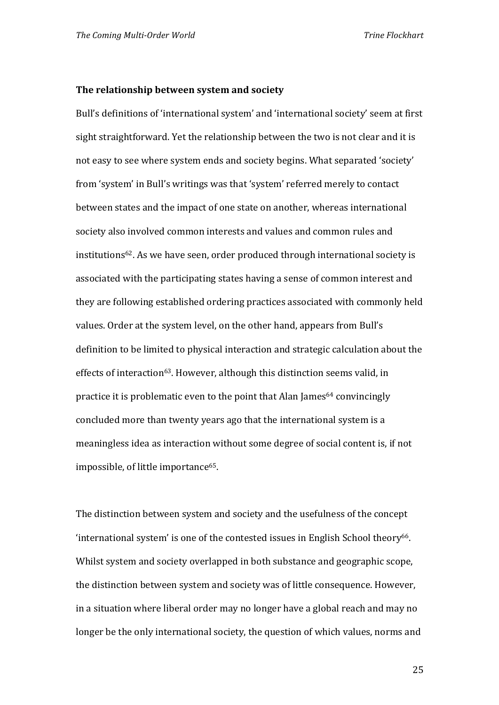#### **The relationship between system and society**

Bull's definitions of 'international system' and 'international society' seem at first sight straightforward. Yet the relationship between the two is not clear and it is not easy to see where system ends and society begins. What separated 'society' from 'system' in Bull's writings was that 'system' referred merely to contact between states and the impact of one state on another, whereas international society also involved common interests and values and common rules and institutions<sup>62</sup>. As we have seen, order produced through international society is associated with the participating states having a sense of common interest and they are following established ordering practices associated with commonly held values. Order at the system level, on the other hand, appears from Bull's definition to be limited to physical interaction and strategic calculation about the effects of interaction<sup>63</sup>. However, although this distinction seems valid, in practice it is problematic even to the point that Alan James<sup>64</sup> convincingly concluded more than twenty years ago that the international system is a meaningless idea as interaction without some degree of social content is, if not impossible, of little importance<sup>65</sup>.

The distinction between system and society and the usefulness of the concept  $'$ international system' is one of the contested issues in English School theory<sup>66</sup>. Whilst system and society overlapped in both substance and geographic scope, the distinction between system and society was of little consequence. However, in a situation where liberal order may no longer have a global reach and may no longer be the only international society, the question of which values, norms and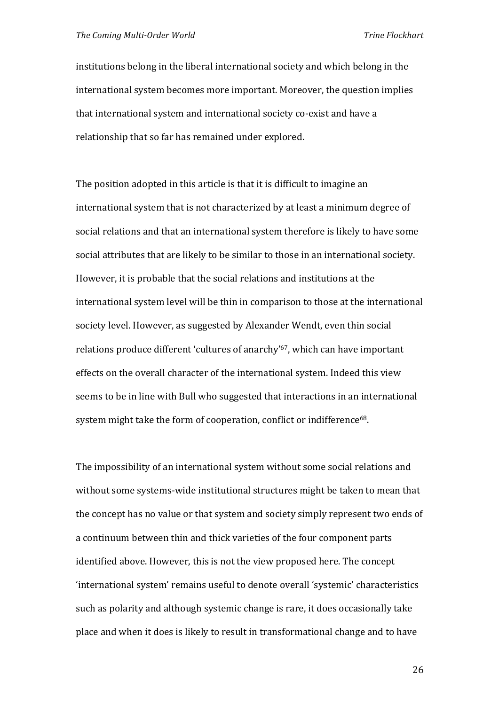institutions belong in the liberal international society and which belong in the international system becomes more important. Moreover, the question implies that international system and international society co‐exist and have a relationship that so far has remained under explored.

The position adopted in this article is that it is difficult to imagine an international system that is not characterized by at least a minimum degree of social relations and that an international system therefore is likely to have some social attributes that are likely to be similar to those in an international society. However, it is probable that the social relations and institutions at the international system level will be thin in comparison to those at the international society level. However, as suggested by Alexander Wendt, even thin social relations produce different 'cultures of anarchy'67, which can have important effects on the overall character of the international system. Indeed this view seems to be in line with Bull who suggested that interactions in an international system might take the form of cooperation, conflict or indifference<sup>68</sup>.

The impossibility of an international system without some social relations and without some systems‐wide institutional structures might be taken to mean that the concept has no value or that system and society simply represent two ends of a continuum between thin and thick varieties of the four component parts identified above. However, this is not the view proposed here. The concept 'international system' remains useful to denote overall 'systemic' characteristics such as polarity and although systemic change is rare, it does occasionally take place and when it does is likely to result in transformational change and to have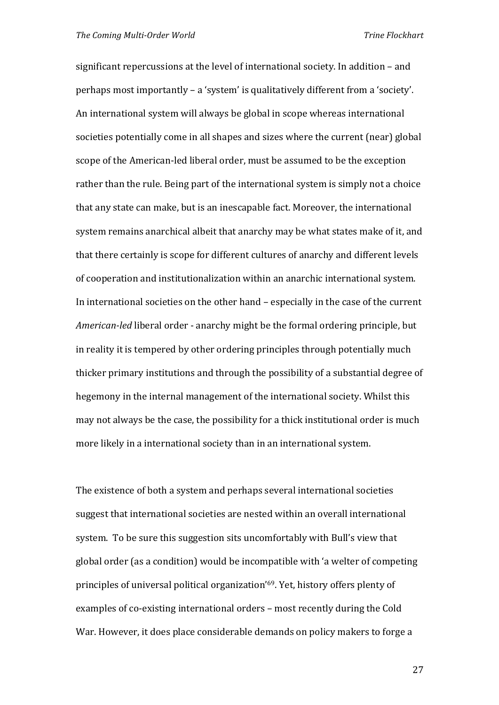significant repercussions at the level of international society. In addition – and perhaps most importantly – a 'system' is qualitatively different from a 'society'. An international system will always be global in scope whereas international societies potentially come in all shapes and sizes where the current (near) global scope of the American-led liberal order, must be assumed to be the exception rather than the rule. Being part of the international system is simply not a choice that any state can make, but is an inescapable fact. Moreover, the international system remains anarchical albeit that anarchy may be what states make of it, and that there certainly is scope for different cultures of anarchy and different levels of cooperation and institutionalization within an anarchic international system. In international societies on the other hand – especially in the case of the current *American‐led* liberal order ‐ anarchy might be the formal ordering principle, but in reality it is tempered by other ordering principles through potentially much thicker primary institutions and through the possibility of a substantial degree of hegemony in the internal management of the international society. Whilst this may not always be the case, the possibility for a thick institutional order is much more likely in a international society than in an international system.

The existence of both a system and perhaps several international societies suggest that international societies are nested within an overall international system. To be sure this suggestion sits uncomfortably with Bull's view that global order (as a condition) would be incompatible with 'a welter of competing principles of universal political organization'69. Yet, history offers plenty of examples of co-existing international orders – most recently during the Cold War. However, it does place considerable demands on policy makers to forge a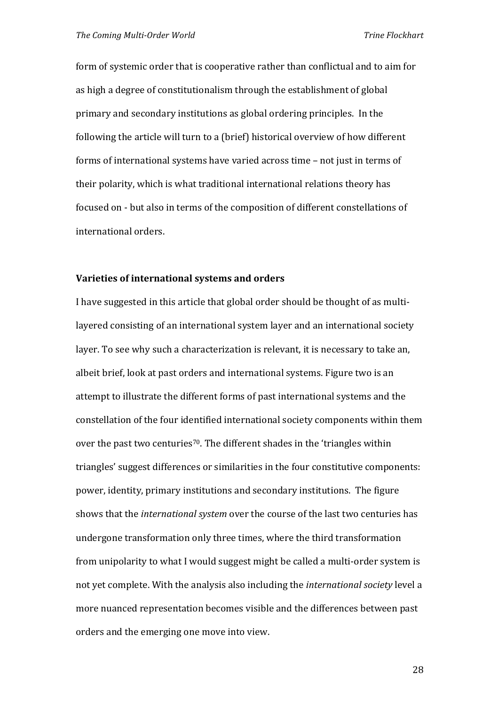form of systemic order that is cooperative rather than conflictual and to aim for as high a degree of constitutionalism through the establishment of global primary and secondary institutions as global ordering principles. In the following the article will turn to a (brief) historical overview of how different forms of international systems have varied across time – not just in terms of their polarity, which is what traditional international relations theory has focused on ‐ but also in terms of the composition of different constellations of international orders.

#### **Varieties of international systems and orders**

I have suggested in this article that global order should be thought of as multi‐ layered consisting of an international system layer and an international society layer. To see why such a characterization is relevant, it is necessary to take an, albeit brief, look at past orders and international systems. Figure two is an attempt to illustrate the different forms of past international systems and the constellation of the four identified international society components within them over the past two centuries<sup>70</sup>. The different shades in the 'triangles within triangles' suggest differences or similarities in the four constitutive components: power, identity, primary institutions and secondary institutions. The figure shows that the *international system* over the course of the last two centuries has undergone transformation only three times, where the third transformation from unipolarity to what I would suggest might be called a multi-order system is not yet complete. With the analysis also including the *international society* level a more nuanced representation becomes visible and the differences between past orders and the emerging one move into view.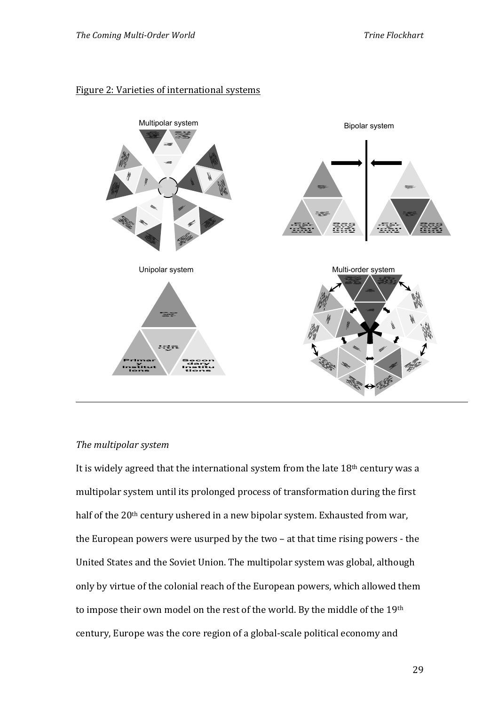#### Figure 2: Varieties of international systems



#### *The multipolar system*

It is widely agreed that the international system from the late 18<sup>th</sup> century was a multipolar system until its prolonged process of transformation during the first half of the 20<sup>th</sup> century ushered in a new bipolar system. Exhausted from war, the European powers were usurped by the two – at that time rising powers ‐ the United States and the Soviet Union. The multipolar system was global, although only by virtue of the colonial reach of the European powers, which allowed them to impose their own model on the rest of the world. By the middle of the 19th century, Europe was the core region of a global‐scale political economy and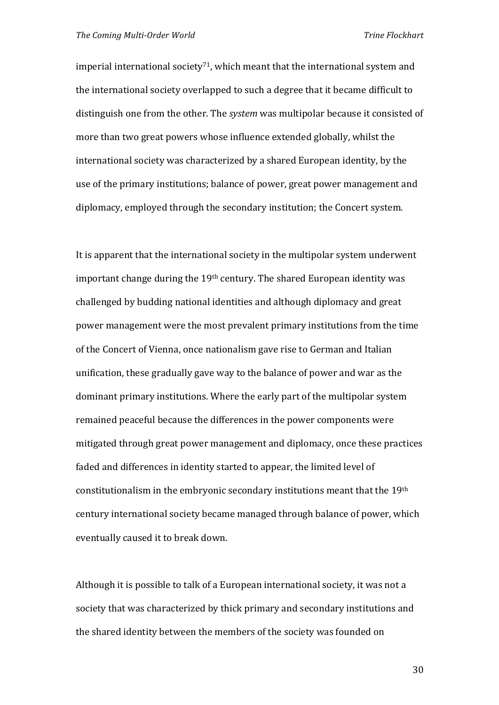imperial international society<sup>71</sup>, which meant that the international system and the international society overlapped to such a degree that it became difficult to distinguish one from the other. The *system* was multipolar because it consisted of more than two great powers whose influence extended globally, whilst the international society was characterized by a shared European identity, by the use of the primary institutions; balance of power, great power management and diplomacy, employed through the secondary institution; the Concert system.

It is apparent that the international society in the multipolar system underwent important change during the  $19<sup>th</sup>$  century. The shared European identity was challenged by budding national identities and although diplomacy and great power management were the most prevalent primary institutions from the time of the Concert of Vienna, once nationalism gave rise to German and Italian unification, these gradually gave way to the balance of power and war as the dominant primary institutions. Where the early part of the multipolar system remained peaceful because the differences in the power components were mitigated through great power management and diplomacy, once these practices faded and differences in identity started to appear, the limited level of constitutionalism in the embryonic secondary institutions meant that the 19th century international society became managed through balance of power, which eventually caused it to break down.

Although it is possible to talk of a European international society, it was not a society that was characterized by thick primary and secondary institutions and the shared identity between the members of the society was founded on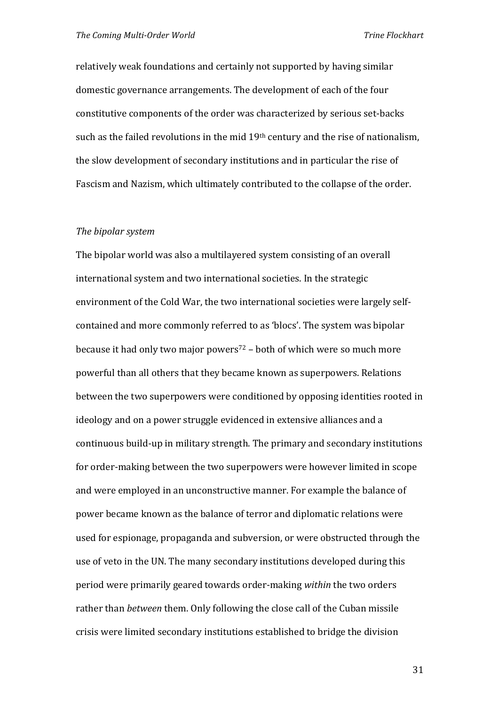relatively weak foundations and certainly not supported by having similar domestic governance arrangements. The development of each of the four constitutive components of the order was characterized by serious set‐backs such as the failed revolutions in the mid 19<sup>th</sup> century and the rise of nationalism, the slow development of secondary institutions and in particular the rise of Fascism and Nazism, which ultimately contributed to the collapse of the order.

#### *The bipolar system*

The bipolar world was also a multilayered system consisting of an overall international system and two international societies. In the strategic environment of the Cold War, the two international societies were largely self‐ contained and more commonly referred to as 'blocs'. The system was bipolar because it had only two major powers<sup>72</sup> – both of which were so much more powerful than all others that they became known as superpowers. Relations between the two superpowers were conditioned by opposing identities rooted in ideology and on a power struggle evidenced in extensive alliances and a continuous build‐up in military strength. The primary and secondary institutions for order-making between the two superpowers were however limited in scope and were employed in an unconstructive manner. For example the balance of power became known as the balance of terror and diplomatic relations were used for espionage, propaganda and subversion, or were obstructed through the use of veto in the UN. The many secondary institutions developed during this period were primarily geared towards order‐making *within* the two orders rather than *between* them. Only following the close call of the Cuban missile crisis were limited secondary institutions established to bridge the division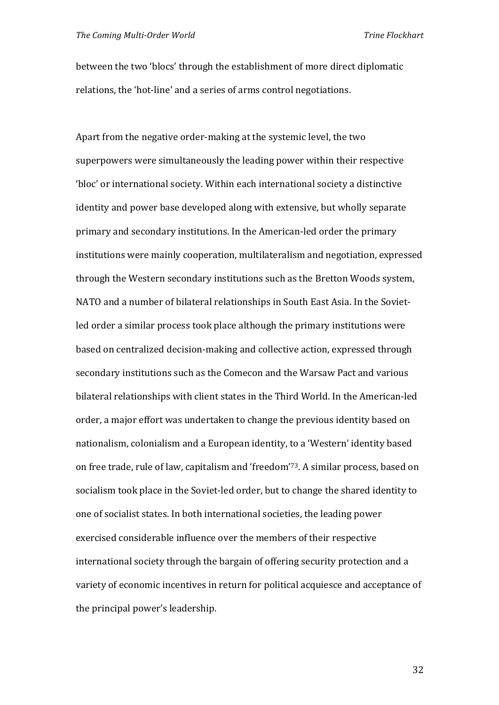between the two 'blocs' through the establishment of more direct diplomatic relations, the 'hot-line' and a series of arms control negotiations.

Apart from the negative order-making at the systemic level, the two superpowers were simultaneously the leading power within their respective 'bloc' or international society. Within each international society a distinctive identity and power base developed along with extensive, but wholly separate primary and secondary institutions. In the American‐led order the primary institutions were mainly cooperation, multilateralism and negotiation, expressed through the Western secondary institutions such as the Bretton Woods system, NATO and a number of bilateral relationships in South East Asia. In the Soviet‐ led order a similar process took place although the primary institutions were based on centralized decision‐making and collective action, expressed through secondary institutions such as the Comecon and the Warsaw Pact and various bilateral relationships with client states in the Third World. In the American‐led order, a major effort was undertaken to change the previous identity based on nationalism, colonialism and a European identity, to a 'Western' identity based on free trade, rule of law, capitalism and 'freedom' <sup>73</sup>. A similar process, based on socialism took place in the Soviet‐led order, but to change the shared identity to one of socialist states. In both international societies, the leading power exercised considerable influence over the members of their respective international society through the bargain of offering security protection and a variety of economic incentives in return for political acquiesce and acceptance of the principal power's leadership.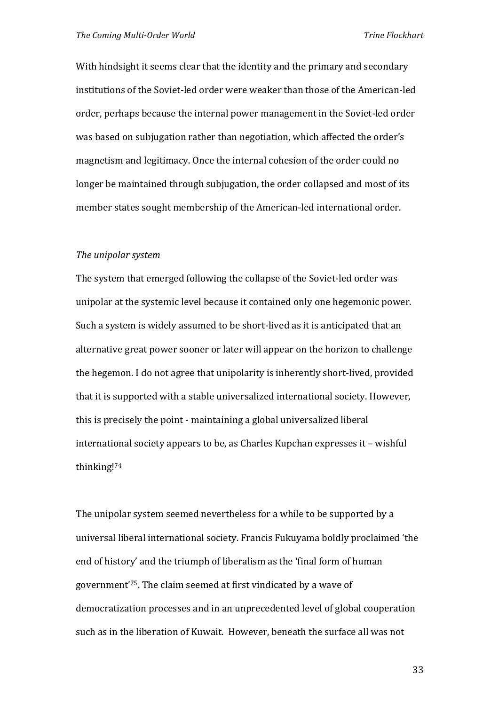With hindsight it seems clear that the identity and the primary and secondary institutions of the Soviet‐led order were weaker than those of the American‐led order, perhaps because the internal power management in the Soviet‐led order was based on subjugation rather than negotiation, which affected the order's magnetism and legitimacy. Once the internal cohesion of the order could no longer be maintained through subjugation, the order collapsed and most of its member states sought membership of the American-led international order.

#### *The unipolar system*

The system that emerged following the collapse of the Soviet‐led order was unipolar at the systemic level because it contained only one hegemonic power. Such a system is widely assumed to be short‐lived as it is anticipated that an alternative great power sooner or later will appear on the horizon to challenge the hegemon. I do not agree that unipolarity is inherently short‐lived, provided that it is supported with a stable universalized international society. However, this is precisely the point ‐ maintaining a global universalized liberal international society appears to be, as Charles Kupchan expresses it – wishful thinking!<sup>74</sup>

The unipolar system seemed nevertheless for a while to be supported by a universal liberal international society. Francis Fukuyama boldly proclaimed 'the end of history' and the triumph of liberalism as the 'final form of human government'75. The claim seemed at first vindicated by a wave of democratization processes and in an unprecedented level of global cooperation such as in the liberation of Kuwait. However, beneath the surface all was not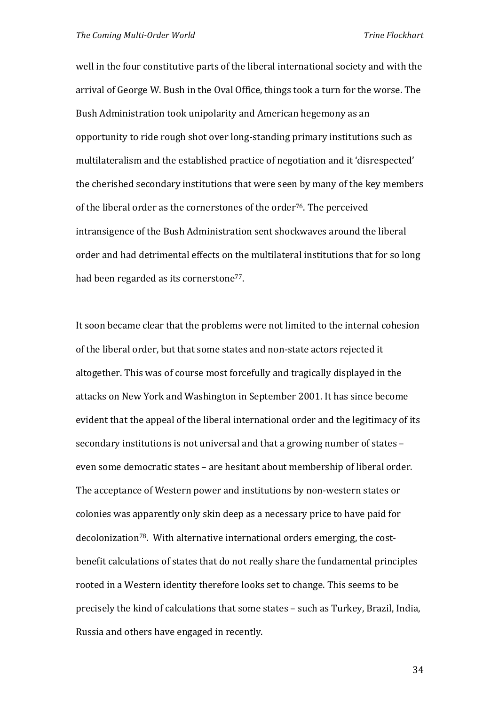well in the four constitutive parts of the liberal international society and with the arrival of George W. Bush in the Oval Office, things took a turn for the worse. The Bush Administration took unipolarity and American hegemony as an opportunity to ride rough shot over long‐standing primary institutions such as multilateralism and the established practice of negotiation and it 'disrespected' the cherished secondary institutions that were seen by many of the key members of the liberal order as the cornerstones of the order<sup>76</sup>. The perceived intransigence of the Bush Administration sent shockwaves around the liberal order and had detrimental effects on the multilateral institutions that for so long had been regarded as its cornerstone<sup>77</sup>.

It soon became clear that the problems were not limited to the internal cohesion of the liberal order, but that some states and non‐state actors rejected it altogether. This was of course most forcefully and tragically displayed in the attacks on New York and Washington in September 2001. It has since become evident that the appeal of the liberal international order and the legitimacy of its secondary institutions is not universal and that a growing number of states – even some democratic states – are hesitant about membership of liberal order. The acceptance of Western power and institutions by non-western states or colonies was apparently only skin deep as a necessary price to have paid for decolonization<sup>78</sup>. With alternative international orders emerging, the costbenefit calculations of states that do not really share the fundamental principles rooted in a Western identity therefore looks set to change. This seems to be precisely the kind of calculations that some states – such as Turkey, Brazil, India, Russia and others have engaged in recently.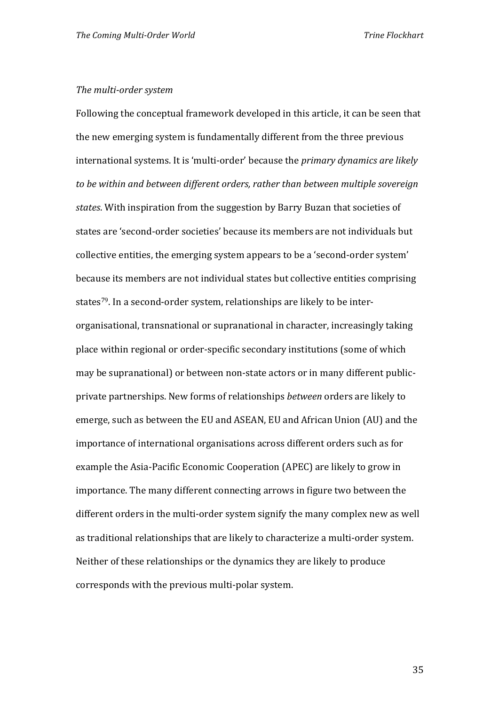#### *The multi‐order system*

Following the conceptual framework developed in this article, it can be seen that the new emerging system is fundamentally different from the three previous international systems. It is 'multi‐order' because the *primary dynamics are likely to be within and between different orders, rather than between multiple sovereign states*. With inspiration from the suggestion by Barry Buzan that societies of states are 'second‐order societies' because its members are not individuals but collective entities, the emerging system appears to be a 'second‐order system' because its members are not individual states but collective entities comprising states<sup>79</sup>. In a second-order system, relationships are likely to be interorganisational, transnational or supranational in character, increasingly taking place within regional or order‐specific secondary institutions (some of which may be supranational) or between non-state actors or in many different publicprivate partnerships. New forms of relationships *between* orders are likely to emerge, such as between the EU and ASEAN, EU and African Union (AU) and the importance of international organisations across different orders such as for example the Asia‐Pacific Economic Cooperation (APEC) are likely to grow in importance. The many different connecting arrows in figure two between the different orders in the multi-order system signify the many complex new as well as traditional relationships that are likely to characterize a multi‐order system. Neither of these relationships or the dynamics they are likely to produce corresponds with the previous multi‐polar system.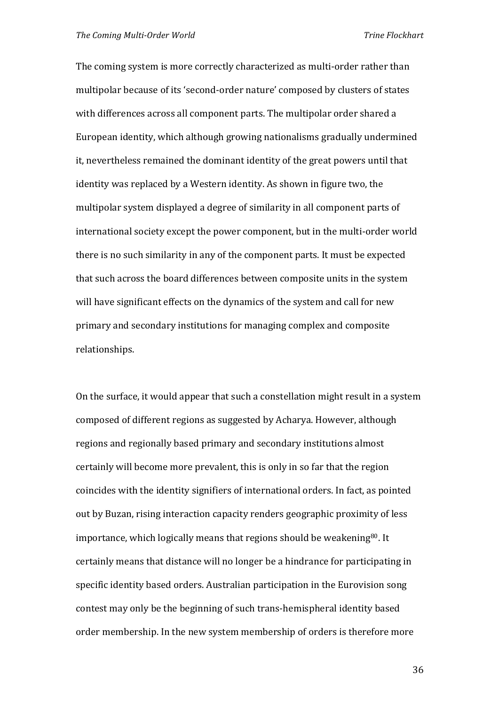The coming system is more correctly characterized as multi-order rather than multipolar because of its 'second‐order nature' composed by clusters of states with differences across all component parts. The multipolar order shared a European identity, which although growing nationalisms gradually undermined it, nevertheless remained the dominant identity of the great powers until that identity was replaced by a Western identity. As shown in figure two, the multipolar system displayed a degree of similarity in all component parts of international society except the power component, but in the multi‐order world there is no such similarity in any of the component parts. It must be expected that such across the board differences between composite units in the system will have significant effects on the dynamics of the system and call for new primary and secondary institutions for managing complex and composite relationships.

On the surface, it would appear that such a constellation might result in a system composed of different regions as suggested by Acharya. However, although regions and regionally based primary and secondary institutions almost certainly will become more prevalent, this is only in so far that the region coincides with the identity signifiers of international orders. In fact, as pointed out by Buzan, rising interaction capacity renders geographic proximity of less importance, which logically means that regions should be weakening<sup>80</sup>. It certainly means that distance will no longer be a hindrance for participating in specific identity based orders. Australian participation in the Eurovision song contest may only be the beginning of such trans‐hemispheral identity based order membership. In the new system membership of orders is therefore more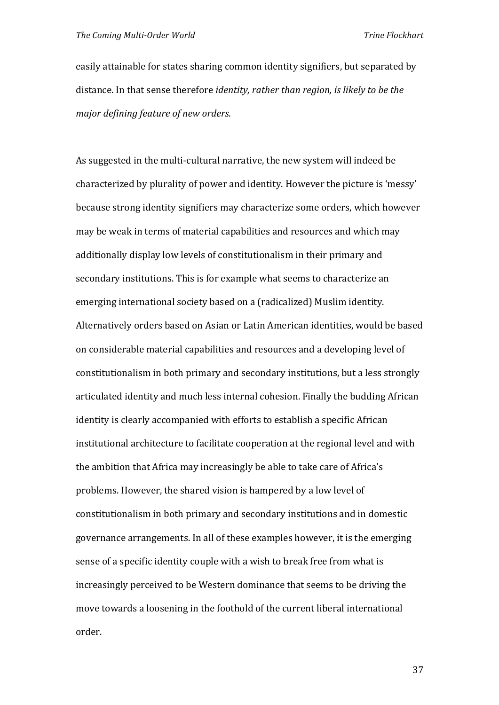easily attainable for states sharing common identity signifiers, but separated by distance. In that sense therefore *identity, rather than region, is likely to be the major defining feature of new orders.*

As suggested in the multi‐cultural narrative, the new system will indeed be characterized by plurality of power and identity. However the picture is 'messy' because strong identity signifiers may characterize some orders, which however may be weak in terms of material capabilities and resources and which may additionally display low levels of constitutionalism in their primary and secondary institutions. This is for example what seems to characterize an emerging international society based on a (radicalized) Muslim identity. Alternatively orders based on Asian or Latin American identities, would be based on considerable material capabilities and resources and a developing level of constitutionalism in both primary and secondary institutions, but a less strongly articulated identity and much less internal cohesion. Finally the budding African identity is clearly accompanied with efforts to establish a specific African institutional architecture to facilitate cooperation at the regional level and with the ambition that Africa may increasingly be able to take care of Africa's problems. However, the shared vision is hampered by a low level of constitutionalism in both primary and secondary institutions and in domestic governance arrangements. In all of these examples however, it is the emerging sense of a specific identity couple with a wish to break free from what is increasingly perceived to be Western dominance that seems to be driving the move towards a loosening in the foothold of the current liberal international order.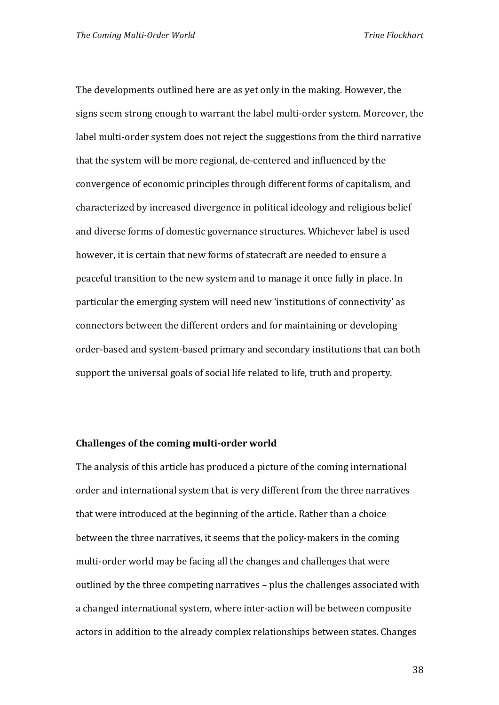The developments outlined here are as yet only in the making. However, the signs seem strong enough to warrant the label multi‐order system. Moreover, the label multi-order system does not reject the suggestions from the third narrative that the system will be more regional, de‐centered and influenced by the convergence of economic principles through different forms of capitalism, and characterized by increased divergence in political ideology and religious belief and diverse forms of domestic governance structures. Whichever label is used however, it is certain that new forms of statecraft are needed to ensure a peaceful transition to the new system and to manage it once fully in place. In particular the emerging system will need new 'institutions of connectivity' as connectors between the different orders and for maintaining or developing order‐based and system‐based primary and secondary institutions that can both support the universal goals of social life related to life, truth and property.

#### **Challenges of the coming multi‐order world**

The analysis of this article has produced a picture of the coming international order and international system that is very different from the three narratives that were introduced at the beginning of the article. Rather than a choice between the three narratives, it seems that the policy-makers in the coming multi-order world may be facing all the changes and challenges that were outlined by the three competing narratives – plus the challenges associated with a changed international system, where inter‐action will be between composite actors in addition to the already complex relationships between states. Changes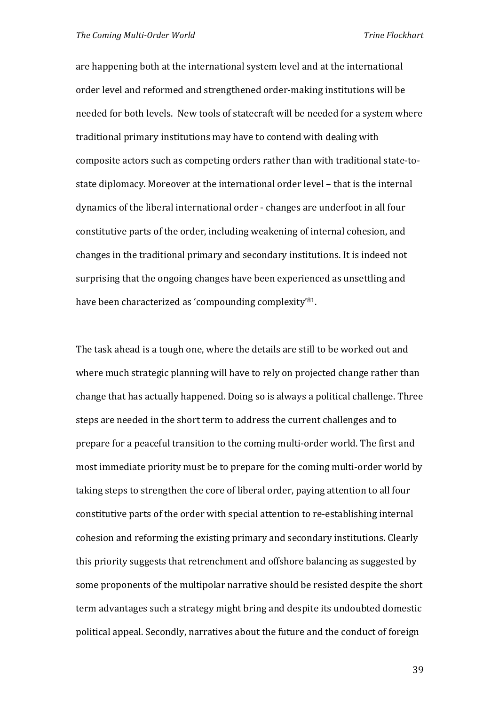are happening both at the international system level and at the international order level and reformed and strengthened order‐making institutions will be needed for both levels. New tools of statecraft will be needed for a system where traditional primary institutions may have to contend with dealing with composite actors such as competing orders rather than with traditional state‐to‐ state diplomacy. Moreover at the international order level – that is the internal dynamics of the liberal international order ‐ changes are underfoot in all four constitutive parts of the order, including weakening of internal cohesion, and changes in the traditional primary and secondary institutions. It is indeed not surprising that the ongoing changes have been experienced as unsettling and have been characterized as 'compounding complexity'81.

The task ahead is a tough one, where the details are still to be worked out and where much strategic planning will have to rely on projected change rather than change that has actually happened. Doing so is always a political challenge. Three steps are needed in the short term to address the current challenges and to prepare for a peaceful transition to the coming multi‐order world. The first and most immediate priority must be to prepare for the coming multi‐order world by taking steps to strengthen the core of liberal order, paying attention to all four constitutive parts of the order with special attention to re‐establishing internal cohesion and reforming the existing primary and secondary institutions. Clearly this priority suggests that retrenchment and offshore balancing as suggested by some proponents of the multipolar narrative should be resisted despite the short term advantages such a strategy might bring and despite its undoubted domestic political appeal. Secondly, narratives about the future and the conduct of foreign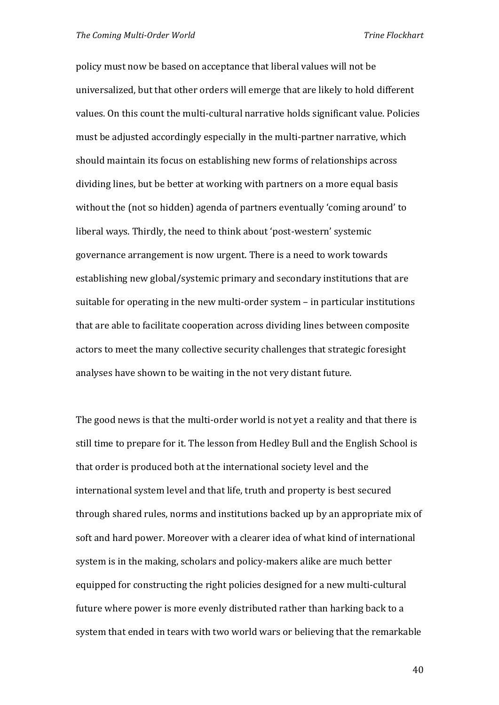policy must now be based on acceptance that liberal values will not be universalized, but that other orders will emerge that are likely to hold different values. On this count the multi‐cultural narrative holds significant value. Policies must be adjusted accordingly especially in the multi‐partner narrative, which should maintain its focus on establishing new forms of relationships across dividing lines, but be better at working with partners on a more equal basis without the (not so hidden) agenda of partners eventually 'coming around' to liberal ways. Thirdly, the need to think about 'post‐western' systemic governance arrangement is now urgent. There is a need to work towards establishing new global/systemic primary and secondary institutions that are suitable for operating in the new multi-order system – in particular institutions that are able to facilitate cooperation across dividing lines between composite actors to meet the many collective security challenges that strategic foresight analyses have shown to be waiting in the not very distant future.

The good news is that the multi-order world is not yet a reality and that there is still time to prepare for it. The lesson from Hedley Bull and the English School is that order is produced both at the international society level and the international system level and that life, truth and property is best secured through shared rules, norms and institutions backed up by an appropriate mix of soft and hard power. Moreover with a clearer idea of what kind of international system is in the making, scholars and policy‐makers alike are much better equipped for constructing the right policies designed for a new multi‐cultural future where power is more evenly distributed rather than harking back to a system that ended in tears with two world wars or believing that the remarkable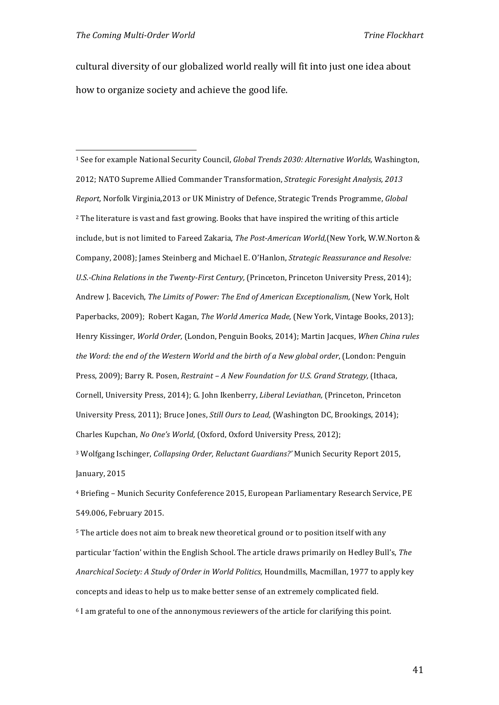cultural diversity of our globalized world really will fit into just one idea about how to organize society and achieve the good life.

<sup>1</sup> See for example National Security Council, *Global Trends 2030: Alternative Worlds,* Washington, 2012; NATO Supreme Allied Commander Transformation, *Strategic Foresight Analysis, 2013 Report,* Norfolk Virginia,2013 or UK Ministry of Defence, Strategic Trends Programme, *Global*  <sup>2</sup> The literature is vast and fast growing. Books that have inspired the writing of this article include, but is not limited to Fareed Zakaria, *The Post‐American World,*(New York, W.W.Norton & Company, 2008); James Steinberg and Michael E. O'Hanlon, *Strategic Reassurance and Resolve: U.S.‐China Relations in the Twenty‐First Century,* (Princeton, Princeton University Press, 2014); Andrew J. Bacevich, *The Limits of Power: The End of American Exceptionalism,* (New York, Holt Paperbacks, 2009); Robert Kagan, *The World America Made,* (New York, Vintage Books, 2013); Henry Kissinger, *World Order,* (London, Penguin Books, 2014); Martin Jacques, *When China rules the Word: the end of the Western World and the birth of a New global order*, (London: Penguin Press, 2009); Barry R. Posen, *Restraint – A New Foundation for U.S. Grand Strategy,* (Ithaca, Cornell, University Press, 2014); G. John Ikenberry, *Liberal Leviathan,* (Princeton, Princeton University Press, 2011); Bruce Jones, *Still Ours to Lead,* (Washington DC, Brookings, 2014); Charles Kupchan, *No One's World,* (Oxford, Oxford University Press, 2012); <sup>3</sup> Wolfgang Ischinger, *Collapsing Order, Reluctant Guardians?'* Munich Security Report 2015,

January, 2015

<sup>4</sup> Briefing – Munich Security Confeference 2015, European Parliamentary Research Service, PE 549.006, February 2015.

<sup>5</sup> The article does not aim to break new theoretical ground or to position itself with any particular 'faction' within the English School. The article draws primarily on Hedley Bull's, *The Anarchical Society: A Study of Order in World Politics,* Houndmills, Macmillan, 1977 to apply key concepts and ideas to help us to make better sense of an extremely complicated field.

<sup>6</sup> I am grateful to one of the annonymous reviewers of the article for clarifying this point.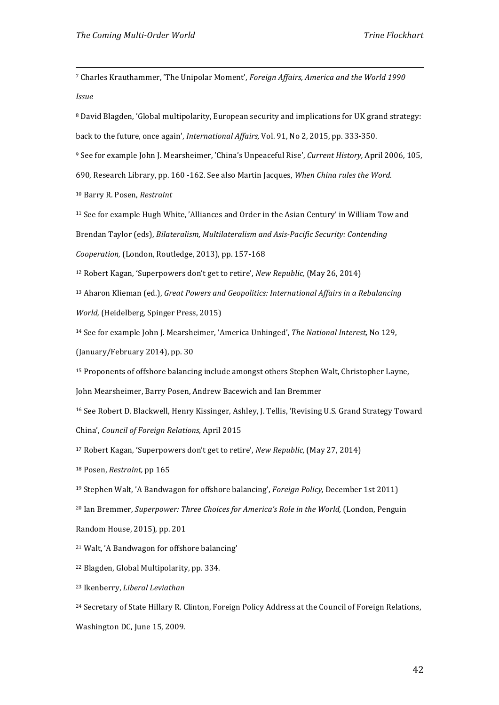<sup>7</sup> Charles Krauthammer, 'The Unipolar Moment', *Foreign Affairs, America and the World 1990 Issue* 

<sup>8</sup> David Blagden, 'Global multipolarity, European security and implications for UK grand strategy: back to the future, once again', *International Affairs,* Vol. 91, No 2, 2015, pp. 333‐350.

<u> Alexandria de la contrada de la contrada de la contrada de la contrada de la contrada de la contrada de la c</u>

<sup>9</sup> See for example John J. Mearsheimer, 'China's Unpeaceful Rise', *Current History,* April 2006, 105,

690, Research Library, pp. 160 ‐162. See also Martin Jacques, *When China rules the Word*.

<sup>10</sup> Barry R. Posen, *Restraint*

<sup>11</sup> See for example Hugh White, 'Alliances and Order in the Asian Century' in William Tow and

Brendan Taylor (eds), *Bilateralism, Multilateralism and Asis‐Pacific Security: Contending* 

*Cooperation,* (London, Routledge, 2013), pp. 157‐168

<sup>12</sup> Robert Kagan, 'Superpowers don't get to retire', *New Republic,* (May 26, 2014)

<sup>13</sup> Aharon Klieman (ed.), *Great Powers and Geopolitics: International Affairs in a Rebalancing World,* (Heidelberg, Spinger Press, 2015)

<sup>14</sup> See for example John J. Mearsheimer, 'America Unhinged', *The National Interest,* No 129,

(January/February 2014), pp. 30

<sup>15</sup> Proponents of offshore balancing include amongst others Stephen Walt, Christopher Layne,

John Mearsheimer, Barry Posen, Andrew Bacewich and Ian Bremmer

<sup>16</sup> See Robert D. Blackwell, Henry Kissinger, Ashley, J. Tellis, 'Revising U.S. Grand Strategy Toward China', *Council of Foreign Relations,* April 2015

<sup>17</sup> Robert Kagan, 'Superpowers don't get to retire', *New Republic,* (May 27, 2014)

<sup>18</sup> Posen, *Restraint,* pp 165

<sup>19</sup> Stephen Walt, 'A Bandwagon for offshore balancing', *Foreign Policy,* December 1st 2011)

<sup>20</sup> Ian Bremmer, *Superpower: Three Choices for America's Role in the World, (London, Penguin)* 

Random House, 2015), pp. 201

<sup>21</sup> Walt, 'A Bandwagon for offshore balancing'

<sup>22</sup> Blagden, Global Multipolarity, pp. 334.

<sup>23</sup> Ikenberry, *Liberal Leviathan*

<sup>24</sup> Secretary of State Hillary R. Clinton, Foreign Policy Address at the Council of Foreign Relations, Washington DC, June 15, 2009.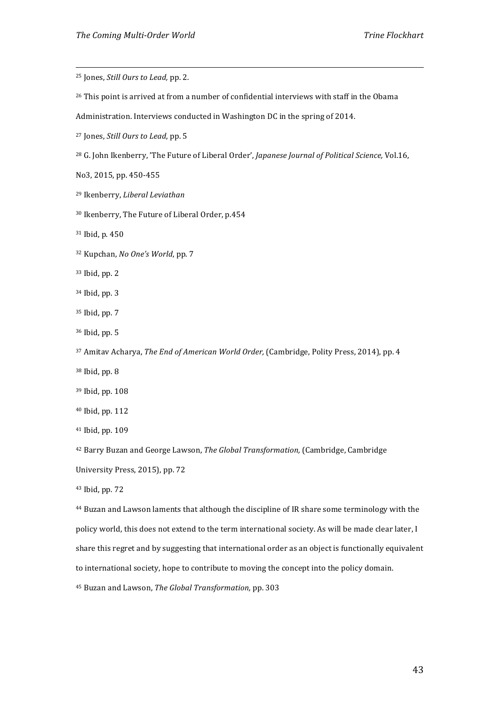| <sup>25</sup> Jones, <i>Still Ours to Lead</i> , pp. 2.                                                        |
|----------------------------------------------------------------------------------------------------------------|
| <sup>26</sup> This point is arrived at from a number of confidential interviews with staff in the Obama        |
| Administration. Interviews conducted in Washington DC in the spring of 2014.                                   |
| <sup>27</sup> Jones, Still Ours to Lead, pp. 5                                                                 |
| <sup>28</sup> G. John Ikenberry, 'The Future of Liberal Order', Japanese Journal of Political Science, Vol.16, |
| No3, 2015, pp. 450-455                                                                                         |
| <sup>29</sup> Ikenberry, Liberal Leviathan                                                                     |
| <sup>30</sup> Ikenberry, The Future of Liberal Order, p.454                                                    |
| <sup>31</sup> Ibid, p. 450                                                                                     |
| <sup>32</sup> Kupchan, No One's World, pp. 7                                                                   |
| 33 Ibid, pp. 2                                                                                                 |
| <sup>34</sup> Ibid, pp. 3                                                                                      |
| <sup>35</sup> Ibid, pp. 7                                                                                      |
| <sup>36</sup> Ibid, pp. 5                                                                                      |
| <sup>37</sup> Amitav Acharya, The End of American World Order, (Cambridge, Polity Press, 2014), pp. 4          |
| <sup>38</sup> Ibid, pp. 8                                                                                      |
| <sup>39</sup> Ibid, pp. 108                                                                                    |
| <sup>40</sup> Ibid, pp. 112                                                                                    |
| <sup>41</sup> Ibid, pp. 109                                                                                    |
| <sup>42</sup> Barry Buzan and George Lawson, The Global Transformation, (Cambridge, Cambridge                  |
| University Press, 2015), pp. 72                                                                                |
| 43 Ibid, pp. 72                                                                                                |
| <sup>44</sup> Buzan and Lawson laments that although the discipline of IR share some terminology with the      |
| policy world, this does not extend to the term international society. As will be made clear later, I           |
| share this regret and by suggesting that international order as an object is functionally equivalent           |
| to international society, hope to contribute to moving the concept into the policy domain.                     |
|                                                                                                                |

Buzan and Lawson, *The Global Transformation,* pp. 303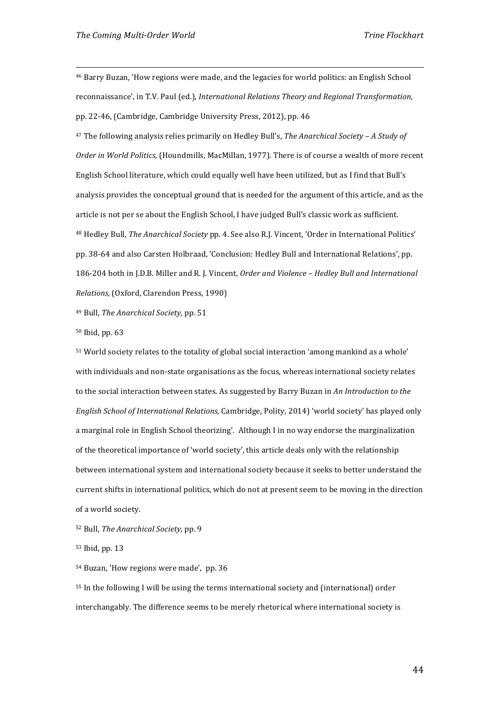<sup>46</sup> Barry Buzan, 'How regions were made, and the legacies for world politics: an English School reconnaissance', in T.V. Paul (ed.), *International Relations Theory and Regional Transformation,*  pp. 22‐46, (Cambridge, Cambridge University Press, 2012), pp. 46

<u> Alexandria de la contrada de la contrada de la contrada de la contrada de la contrada de la contrada de la c</u>

<sup>47</sup> The following analysis relies primarily on Hedley Bull's, *The Anarchical Society – A Study of Order in World Politics,* (Houndmills, MacMillan, 1977). There is of course a wealth of more recent English School literature, which could equally well have been utilized, but as I find that Bull's analysis provides the conceptual ground that is needed for the argument of this article, and as the article is not per se about the English School, I have judged Bull's classic work as sufficient. <sup>48</sup> Hedley Bull, *The Anarchical Society* pp. 4. See also R.J. Vincent, 'Order in International Politics' pp. 38‐64 and also Carsten Holbraad, 'Conclusion: Hedley Bull and International Relations', pp. 186‐204 both in J.D.B. Miller and R. J. Vincent, *Order and Violence – Hedley Bull and International Relations,* (Oxford, Clarendon Press, 1990)

<sup>49</sup> Bull, *The Anarchical Society,* pp. 51

<sup>50</sup> Ibid, pp. 63

<sup>51</sup> World society relates to the totality of global social interaction 'among mankind as a whole' with individuals and non-state organisations as the focus, whereas international society relates to the social interaction between states. As suggested by Barry Buzan in *An Introduction to the English School of International Relations,* Cambridge, Polity, 2014) 'world society' has played only a marginal role in English School theorizing'. Although I in no way endorse the marginalization of the theoretical importance of 'world society', this article deals only with the relationship between international system and international society because it seeks to better understand the current shifts in international politics, which do not at present seem to be moving in the direction of a world society.

<sup>52</sup> Bull, *The Anarchical Society*, pp. 9

<sup>53</sup> Ibid, pp. 13

<sup>54</sup> Buzan, 'How regions were made', pp. 36

<sup>55</sup> In the following I will be using the terms international society and (international) order interchangably. The difference seems to be merely rhetorical where international society is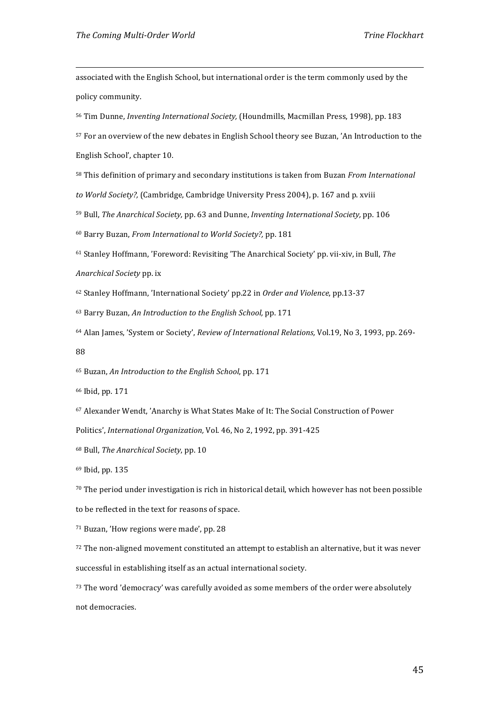associated with the English School, but international order is the term commonly used by the policy community.

<u> Alexandria de la contrada de la contrada de la contrada de la contrada de la contrada de la contrada de la c</u>

<sup>56</sup> Tim Dunne, *Inventing International Society,* (Houndmills, Macmillan Press, 1998), pp. 183

<sup>57</sup> For an overview of the new debates in English School theory see Buzan, 'An Introduction to the

English School', chapter 10.

<sup>58</sup> This definition of primary and secondary institutions is taken from Buzan *From International* 

*to World Society?,* (Cambridge, Cambridge University Press 2004), p. 167 and p. xviii

<sup>59</sup> Bull, *The Anarchical Society,* pp. 63 and Dunne, *Inventing International Society,* pp. 106

<sup>60</sup> Barry Buzan, *From International to World Society?,* pp. 181

<sup>61</sup> Stanley Hoffmann, 'Foreword: Revisiting 'The Anarchical Society' pp. vii‐xiv, in Bull, *The* 

*Anarchical Society* pp. ix

<sup>62</sup> Stanley Hoffmann, 'International Society' pp.22 in *Order and Violence*, pp.13‐37

<sup>63</sup> Barry Buzan, *An Introduction to the English School,* pp. 171

<sup>64</sup> Alan James, 'System or Society', *Review of International Relations,* Vol.19, No 3, 1993, pp. 269‐ 88

<sup>65</sup> Buzan, *An Introduction to the English School*, pp. 171

<sup>66</sup> Ibid, pp. 171

<sup>67</sup> Alexander Wendt, 'Anarchy is What States Make of It: The Social Construction of Power

Politics', *International Organization,* Vol. 46, No 2, 1992, pp. 391‐425

<sup>68</sup> Bull, *The Anarchical Society*, pp. 10

<sup>69</sup> Ibid, pp. 135

<sup>70</sup> The period under investigation is rich in historical detail, which however has not been possible to be reflected in the text for reasons of space.

<sup>71</sup> Buzan, 'How regions were made', pp. 28

72 The non-aligned movement constituted an attempt to establish an alternative, but it was never successful in establishing itself as an actual international society.

<sup>73</sup> The word 'democracy' was carefully avoided as some members of the order were absolutely not democracies.